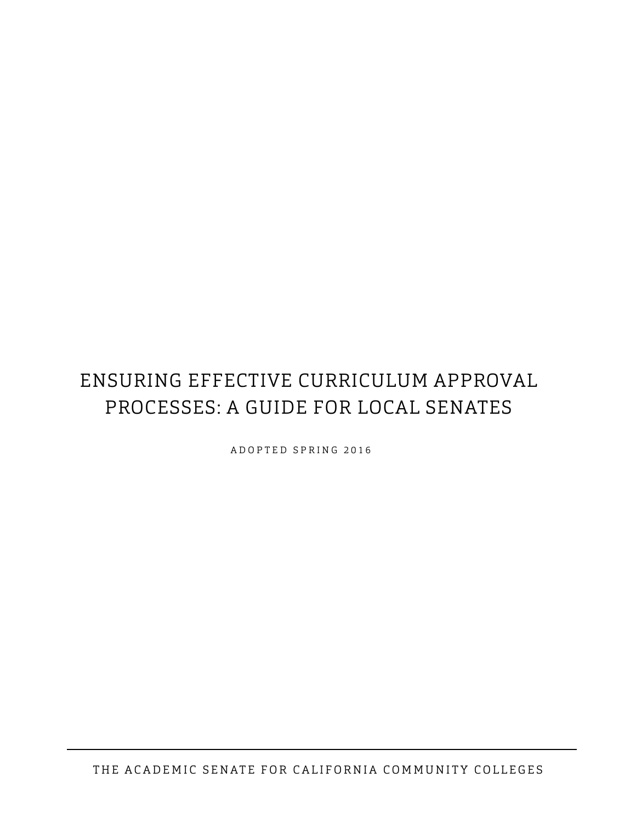# ENSURING EFFECTIVE CURRICULUM APPROVAL PROCESSES: A GUIDE FOR LOCAL SENATES

ADOPTED SPRING 2016

THE ACADEMIC SENATE FOR CALIFORNIA COMMUNITY COLLEGES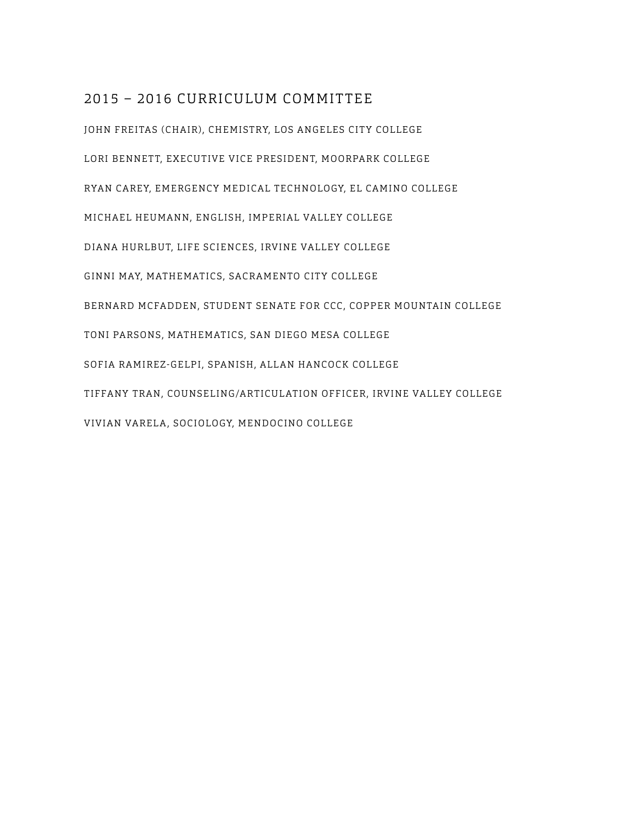# 2015 – 2016 CURRICULUM COMMITTEE

JOHN FREITAS (CHAIR), CHEMISTRY, LOS ANGELES CITY COLLEGE LORI BENNETT, EXECUTIVE VICE PRESIDENT, MOORPARK COLLEGE RYAN CAREY, EMERGENCY MEDICAL TECHNOLOGY, EL CAMINO COLLEGE MICHAEL HEUMANN, ENGLISH, IMPERIAL VALLEY COLLEGE DIANA HURLBUT, LIFE SCIENCES, IRVINE VALLEY COLLEGE GINNI MAY, MATHEMATICS, SACRAMENTO CITY COLLEGE BERNARD MCFADDEN, STUDENT SENATE FOR CCC, COPPER MOUNTAIN COLLEGE TONI PARSONS, MATHEMATICS, SAN DIEGO MESA COLLEGE SOFIA RAMIREZ-GELPI, SPANISH, ALLAN HANCOCK COLLEGE TIFFANY TRAN, COUNSELING/ARTICULATION OFFICER, IRVINE VALLEY COLLEGE VIVIAN VARELA, SOCIOLOGY, MENDOCINO COLLEGE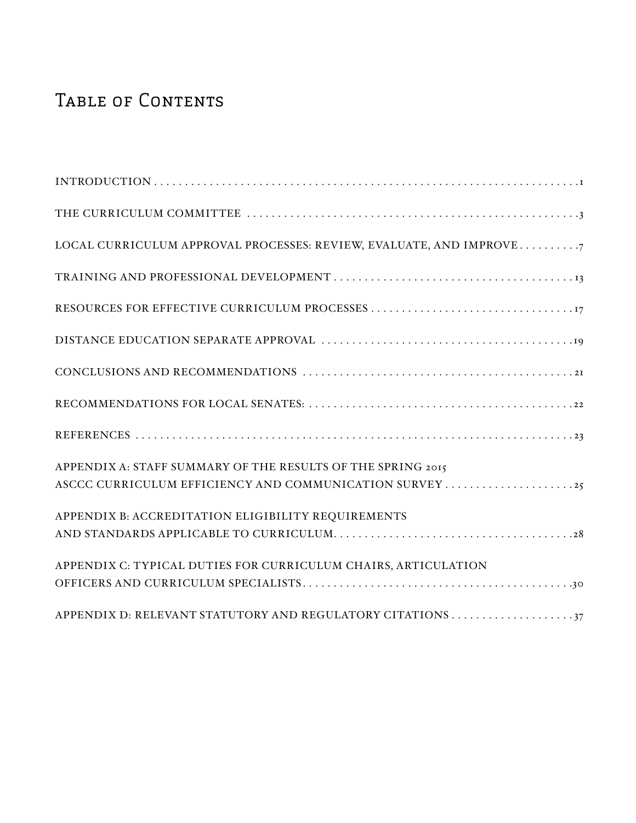# TABLE OF CONTENTS

| LOCAL CURRICULUM APPROVAL PROCESSES: REVIEW, EVALUATE, AND IMPROVE7 |
|---------------------------------------------------------------------|
|                                                                     |
|                                                                     |
|                                                                     |
|                                                                     |
|                                                                     |
|                                                                     |
| APPENDIX A: STAFF SUMMARY OF THE RESULTS OF THE SPRING 2015         |
| APPENDIX B: ACCREDITATION ELIGIBILITY REQUIREMENTS                  |
|                                                                     |
| APPENDIX C: TYPICAL DUTIES FOR CURRICULUM CHAIRS, ARTICULATION      |
|                                                                     |
|                                                                     |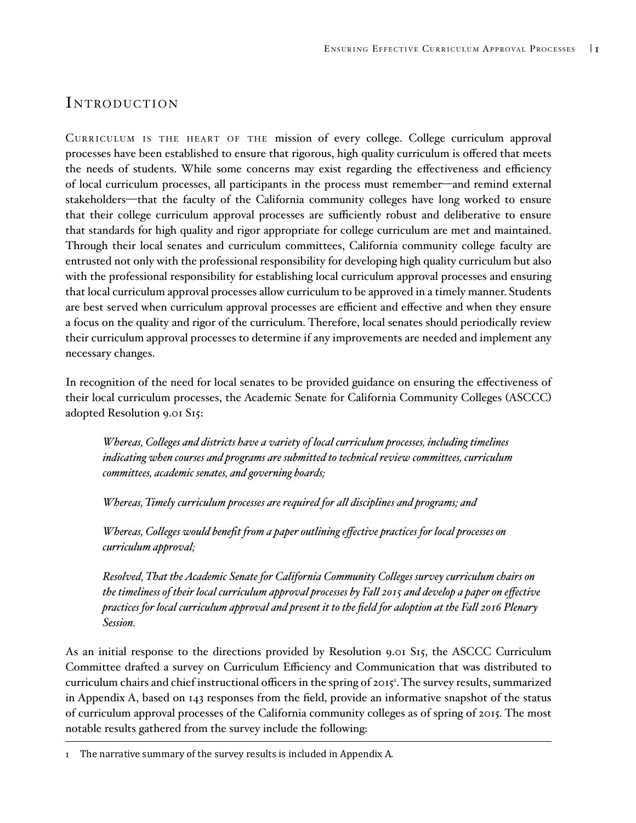## INTRODUCTION

Curriculum is the heart of the mission of every college. College curriculum approval processes have been established to ensure that rigorous, high quality curriculum is offered that meets the needs of students. While some concerns may exist regarding the effectiveness and efficiency of local curriculum processes, all participants in the process must remember—and remind external stakeholders—that the faculty of the California community colleges have long worked to ensure that their college curriculum approval processes are sufficiently robust and deliberative to ensure that standards for high quality and rigor appropriate for college curriculum are met and maintained. Through their local senates and curriculum committees, California community college faculty are entrusted not only with the professional responsibility for developing high quality curriculum but also with the professional responsibility for establishing local curriculum approval processes and ensuring that local curriculum approval processes allow curriculum to be approved in a timely manner. Students are best served when curriculum approval processes are efficient and effective and when they ensure a focus on the quality and rigor of the curriculum. Therefore, local senates should periodically review their curriculum approval processes to determine if any improvements are needed and implement any necessary changes.

In recognition of the need for local senates to be provided guidance on ensuring the effectiveness of their local curriculum processes, the Academic Senate for California Community Colleges (ASCCC) adopted Resolution 9.01 S15:

*Whereas, Colleges and districts have a variety of local curriculum processes, including timelines indicating when courses and programs are submitted to technical review committees, curriculum committees, academic senates, and governing boards;*

*Whereas, Timely curriculum processes are required for all disciplines and programs; and*

*Whereas, Colleges would benefit from a paper outlining effective practices for local processes on curriculum approval;*

*Resolved, That the Academic Senate for California Community Colleges survey curriculum chairs on the timeliness of their local curriculum approval processes by Fall 2015 and develop a paper on effective practices for local curriculum approval and present it to the field for adoption at the Fall 2016 Plenary Session.*

As an initial response to the directions provided by Resolution 9.01 S15, the ASCCC Curriculum Committee drafted a survey on Curriculum Efficiency and Communication that was distributed to curriculum chairs and chief instructional officers in the spring of 2015<sup>1</sup> . The survey results, summarized in Appendix A, based on 143 responses from the field, provide an informative snapshot of the status of curriculum approval processes of the California community colleges as of spring of 2015. The most notable results gathered from the survey include the following:

<sup>1</sup> The narrative summary of the survey results is included in Appendix A.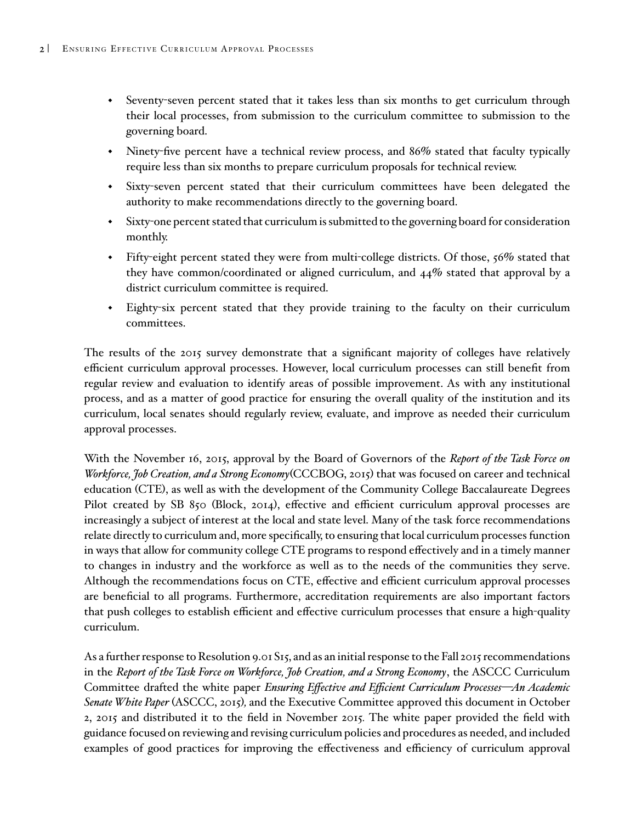- Seventy-seven percent stated that it takes less than six months to get curriculum through their local processes, from submission to the curriculum committee to submission to the governing board.
- Ninety-five percent have a technical review process, and 86% stated that faculty typically require less than six months to prepare curriculum proposals for technical review.
- Sixty-seven percent stated that their curriculum committees have been delegated the authority to make recommendations directly to the governing board.
- Sixty-one percent stated that curriculum is submitted to the governing board for consideration monthly.
- Fifty-eight percent stated they were from multi-college districts. Of those, 56% stated that they have common/coordinated or aligned curriculum, and 44% stated that approval by a district curriculum committee is required.
- Eighty-six percent stated that they provide training to the faculty on their curriculum committees.

The results of the 2015 survey demonstrate that a significant majority of colleges have relatively efficient curriculum approval processes. However, local curriculum processes can still benefit from regular review and evaluation to identify areas of possible improvement. As with any institutional process, and as a matter of good practice for ensuring the overall quality of the institution and its curriculum, local senates should regularly review, evaluate, and improve as needed their curriculum approval processes.

With the November 16, 2015, approval by the Board of Governors of the *Report of the Task Force on Workforce, Job Creation, and a Strong Economy*(CCCBOG, 2015) that was focused on career and technical education (CTE), as well as with the development of the Community College Baccalaureate Degrees Pilot created by SB 850 (Block, 2014), effective and efficient curriculum approval processes are increasingly a subject of interest at the local and state level. Many of the task force recommendations relate directly to curriculum and, more specifically, to ensuring that local curriculum processes function in ways that allow for community college CTE programs to respond effectively and in a timely manner to changes in industry and the workforce as well as to the needs of the communities they serve. Although the recommendations focus on CTE, effective and efficient curriculum approval processes are beneficial to all programs. Furthermore, accreditation requirements are also important factors that push colleges to establish efficient and effective curriculum processes that ensure a high-quality curriculum.

As a further response to Resolution 9.01 S15, and as an initial response to the Fall 2015 recommendations in the *Report of the Task Force on Workforce, Job Creation, and a Strong Economy*, the ASCCC Curriculum Committee drafted the white paper *Ensuring Effective and Efficient Curriculum Processes—An Academic Senate White Paper* (ASCCC, 2015)*,* and the Executive Committee approved this document in October 2, 2015 and distributed it to the field in November 2015*.* The white paper provided the field with guidance focused on reviewing and revising curriculum policies and procedures as needed, and included examples of good practices for improving the effectiveness and efficiency of curriculum approval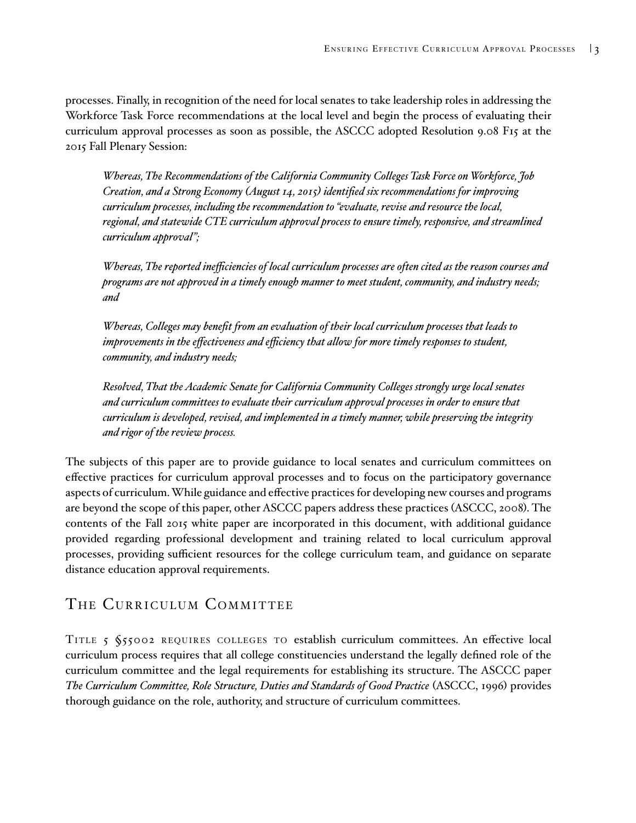<span id="page-6-0"></span>processes. Finally, in recognition of the need for local senates to take leadership roles in addressing the Workforce Task Force recommendations at the local level and begin the process of evaluating their curriculum approval processes as soon as possible, the ASCCC adopted Resolution 9.08 F15 at the 2015 Fall Plenary Session:

*Whereas, The Recommendations of the California Community Colleges Task Force on Workforce, Job Creation, and a Strong Economy (August 14, 2015) identified six recommendations for improving curriculum processes, including the recommendation to "evaluate, revise and resource the local, regional, and statewide CTE curriculum approval process to ensure timely, responsive, and streamlined curriculum approval";*

*Whereas, The reported inefficiencies of local curriculum processes are often cited as the reason courses and programs are not approved in a timely enough manner to meet student, community, and industry needs; and*

*Whereas, Colleges may benefit from an evaluation of their local curriculum processes that leads to improvements in the effectiveness and efficiency that allow for more timely responses to student, community, and industry needs;*

*Resolved, That the Academic Senate for California Community Colleges strongly urge local senates and curriculum committees to evaluate their curriculum approval processes in order to ensure that curriculum is developed, revised, and implemented in a timely manner, while preserving the integrity and rigor of the review process.*

The subjects of this paper are to provide guidance to local senates and curriculum committees on effective practices for curriculum approval processes and to focus on the participatory governance aspects of curriculum. While guidance and effective practices for developing new courses and programs are beyond the scope of this paper, other ASCCC papers address these practices (ASCCC, 2008). The contents of the Fall 2015 white paper are incorporated in this document, with additional guidance provided regarding professional development and training related to local curriculum approval processes, providing sufficient resources for the college curriculum team, and guidance on separate distance education approval requirements.

# THE CURRICULUM COMMITTEE

TITLE 5  $\S$ 55002 REQUIRES COLLEGES TO establish curriculum committees. An effective local curriculum process requires that all college constituencies understand the legally defined role of the curriculum committee and the legal requirements for establishing its structure. The ASCCC paper *The Curriculum Committee, Role Structure, Duties and Standards of Good Practice* (ASCCC, 1996) provides thorough guidance on the role, authority, and structure of curriculum committees.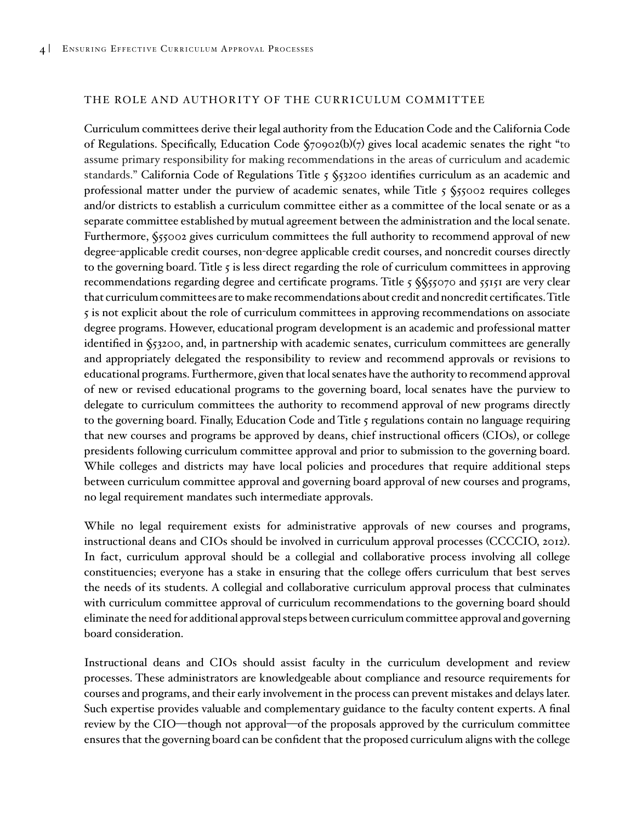#### THE ROLE AND AUTHORITY OF THE CURRICULUM COMMITTEE

Curriculum committees derive their legal authority from the Education Code and the California Code of Regulations. Specifically, Education Code §70902(b)(7) gives local academic senates the right "to assume primary responsibility for making recommendations in the areas of curriculum and academic standards." California Code of Regulations Title 5 §53200 identifies curriculum as an academic and professional matter under the purview of academic senates, while Title  $\zeta$   $\zeta$ 55002 requires colleges and/or districts to establish a curriculum committee either as a committee of the local senate or as a separate committee established by mutual agreement between the administration and the local senate. Furthermore, §55002 gives curriculum committees the full authority to recommend approval of new degree-applicable credit courses, non-degree applicable credit courses, and noncredit courses directly to the governing board. Title 5 is less direct regarding the role of curriculum committees in approving recommendations regarding degree and certificate programs. Title 5 \$\$55070 and 55151 are very clear that curriculum committees are to make recommendations about credit and noncredit certificates. Title 5 is not explicit about the role of curriculum committees in approving recommendations on associate degree programs. However, educational program development is an academic and professional matter identified in §53200, and, in partnership with academic senates, curriculum committees are generally and appropriately delegated the responsibility to review and recommend approvals or revisions to educational programs. Furthermore, given that local senates have the authority to recommend approval of new or revised educational programs to the governing board, local senates have the purview to delegate to curriculum committees the authority to recommend approval of new programs directly to the governing board. Finally, Education Code and Title 5 regulations contain no language requiring that new courses and programs be approved by deans, chief instructional officers (CIOs), or college presidents following curriculum committee approval and prior to submission to the governing board. While colleges and districts may have local policies and procedures that require additional steps between curriculum committee approval and governing board approval of new courses and programs, no legal requirement mandates such intermediate approvals.

While no legal requirement exists for administrative approvals of new courses and programs, instructional deans and CIOs should be involved in curriculum approval processes (CCCCIO, 2012). In fact, curriculum approval should be a collegial and collaborative process involving all college constituencies; everyone has a stake in ensuring that the college offers curriculum that best serves the needs of its students. A collegial and collaborative curriculum approval process that culminates with curriculum committee approval of curriculum recommendations to the governing board should eliminate the need for additional approval steps between curriculum committee approval and governing board consideration.

Instructional deans and CIOs should assist faculty in the curriculum development and review processes. These administrators are knowledgeable about compliance and resource requirements for courses and programs, and their early involvement in the process can prevent mistakes and delays later. Such expertise provides valuable and complementary guidance to the faculty content experts. A final review by the CIO—though not approval—of the proposals approved by the curriculum committee ensures that the governing board can be confident that the proposed curriculum aligns with the college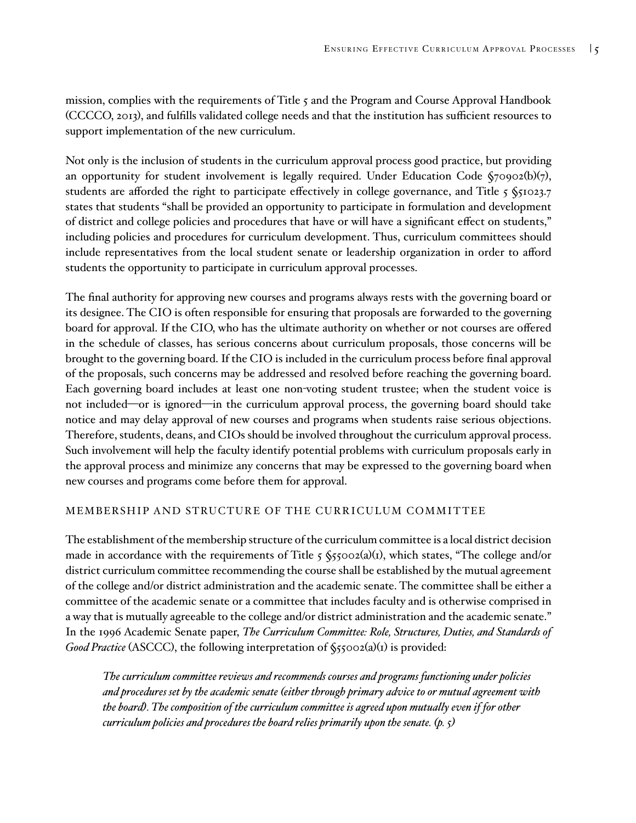mission, complies with the requirements of Title  $\zeta$  and the Program and Course Approval Handbook (CCCCO, 2013), and fulfills validated college needs and that the institution has sufficient resources to support implementation of the new curriculum.

Not only is the inclusion of students in the curriculum approval process good practice, but providing an opportunity for student involvement is legally required. Under Education Code  $\zeta$ 70902(b)(7), students are afforded the right to participate effectively in college governance, and Title  $5\$ \$1023.7 states that students "shall be provided an opportunity to participate in formulation and development of district and college policies and procedures that have or will have a significant effect on students," including policies and procedures for curriculum development. Thus, curriculum committees should include representatives from the local student senate or leadership organization in order to afford students the opportunity to participate in curriculum approval processes.

The final authority for approving new courses and programs always rests with the governing board or its designee. The CIO is often responsible for ensuring that proposals are forwarded to the governing board for approval. If the CIO, who has the ultimate authority on whether or not courses are offered in the schedule of classes, has serious concerns about curriculum proposals, those concerns will be brought to the governing board. If the CIO is included in the curriculum process before final approval of the proposals, such concerns may be addressed and resolved before reaching the governing board. Each governing board includes at least one non-voting student trustee; when the student voice is not included—or is ignored—in the curriculum approval process, the governing board should take notice and may delay approval of new courses and programs when students raise serious objections. Therefore, students, deans, and CIOs should be involved throughout the curriculum approval process. Such involvement will help the faculty identify potential problems with curriculum proposals early in the approval process and minimize any concerns that may be expressed to the governing board when new courses and programs come before them for approval.

#### MEMBERSHIP AND STRUCTURE OF THE CURRICULUM COMMITTEE

The establishment of the membership structure of the curriculum committee is a local district decision made in accordance with the requirements of Title 5  $\frac{\sqrt{5}}{5002(a)(1)}$ , which states, "The college and/or district curriculum committee recommending the course shall be established by the mutual agreement of the college and/or district administration and the academic senate. The committee shall be either a committee of the academic senate or a committee that includes faculty and is otherwise comprised in a way that is mutually agreeable to the college and/or district administration and the academic senate." In the 1996 Academic Senate paper, *The Curriculum Committee: Role, Structures, Duties, and Standards of Good Practice* (ASCCC), the following interpretation of  $\zeta$ 55002(a)(1) is provided:

*The curriculum committee reviews and recommends courses and programs functioning under policies and procedures set by the academic senate (either through primary advice to or mutual agreement with the board). The composition of the curriculum committee is agreed upon mutually even if for other curriculum policies and procedures the board relies primarily upon the senate. (p. 5)*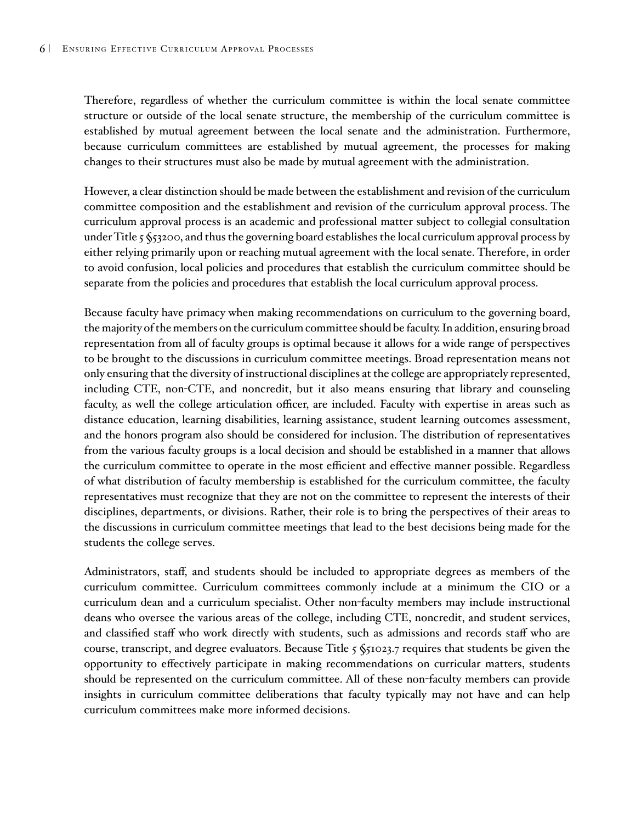Therefore, regardless of whether the curriculum committee is within the local senate committee structure or outside of the local senate structure, the membership of the curriculum committee is established by mutual agreement between the local senate and the administration. Furthermore, because curriculum committees are established by mutual agreement, the processes for making changes to their structures must also be made by mutual agreement with the administration.

However, a clear distinction should be made between the establishment and revision of the curriculum committee composition and the establishment and revision of the curriculum approval process. The curriculum approval process is an academic and professional matter subject to collegial consultation under Title 5 §53200, and thus the governing board establishes the local curriculum approval process by either relying primarily upon or reaching mutual agreement with the local senate. Therefore, in order to avoid confusion, local policies and procedures that establish the curriculum committee should be separate from the policies and procedures that establish the local curriculum approval process.

Because faculty have primacy when making recommendations on curriculum to the governing board, the majority of the members on the curriculum committee should be faculty. In addition, ensuring broad representation from all of faculty groups is optimal because it allows for a wide range of perspectives to be brought to the discussions in curriculum committee meetings. Broad representation means not only ensuring that the diversity of instructional disciplines at the college are appropriately represented, including CTE, non-CTE, and noncredit, but it also means ensuring that library and counseling faculty, as well the college articulation officer, are included. Faculty with expertise in areas such as distance education, learning disabilities, learning assistance, student learning outcomes assessment, and the honors program also should be considered for inclusion. The distribution of representatives from the various faculty groups is a local decision and should be established in a manner that allows the curriculum committee to operate in the most efficient and effective manner possible. Regardless of what distribution of faculty membership is established for the curriculum committee, the faculty representatives must recognize that they are not on the committee to represent the interests of their disciplines, departments, or divisions. Rather, their role is to bring the perspectives of their areas to the discussions in curriculum committee meetings that lead to the best decisions being made for the students the college serves.

Administrators, staff, and students should be included to appropriate degrees as members of the curriculum committee. Curriculum committees commonly include at a minimum the CIO or a curriculum dean and a curriculum specialist. Other non-faculty members may include instructional deans who oversee the various areas of the college, including CTE, noncredit, and student services, and classified staff who work directly with students, such as admissions and records staff who are course, transcript, and degree evaluators. Because Title 5 §51023.7 requires that students be given the opportunity to effectively participate in making recommendations on curricular matters, students should be represented on the curriculum committee. All of these non-faculty members can provide insights in curriculum committee deliberations that faculty typically may not have and can help curriculum committees make more informed decisions.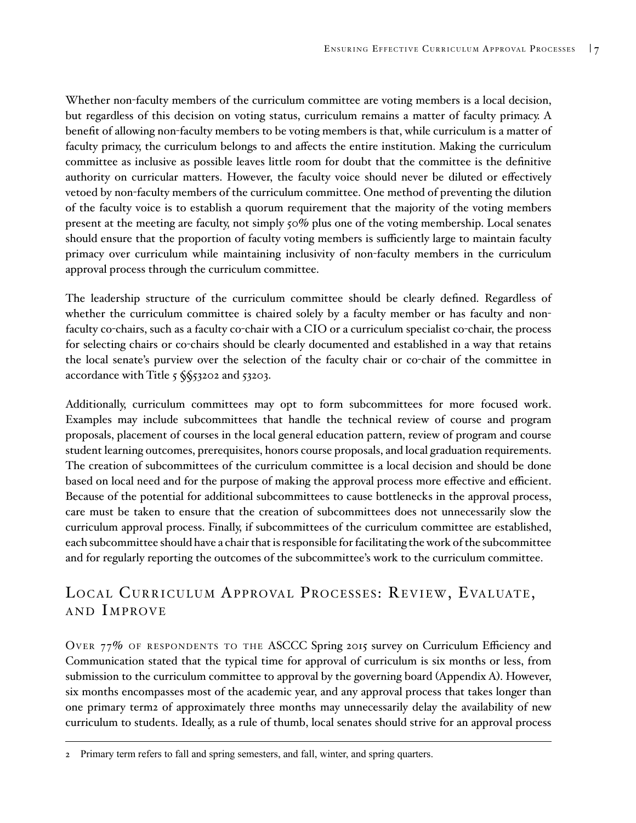Whether non-faculty members of the curriculum committee are voting members is a local decision, but regardless of this decision on voting status, curriculum remains a matter of faculty primacy. A benefit of allowing non-faculty members to be voting members is that, while curriculum is a matter of faculty primacy, the curriculum belongs to and affects the entire institution. Making the curriculum committee as inclusive as possible leaves little room for doubt that the committee is the definitive authority on curricular matters. However, the faculty voice should never be diluted or effectively vetoed by non-faculty members of the curriculum committee. One method of preventing the dilution of the faculty voice is to establish a quorum requirement that the majority of the voting members present at the meeting are faculty, not simply 50% plus one of the voting membership. Local senates should ensure that the proportion of faculty voting members is sufficiently large to maintain faculty primacy over curriculum while maintaining inclusivity of non-faculty members in the curriculum approval process through the curriculum committee.

The leadership structure of the curriculum committee should be clearly defined. Regardless of whether the curriculum committee is chaired solely by a faculty member or has faculty and nonfaculty co-chairs, such as a faculty co-chair with a CIO or a curriculum specialist co-chair, the process for selecting chairs or co-chairs should be clearly documented and established in a way that retains the local senate's purview over the selection of the faculty chair or co-chair of the committee in accordance with Title 5 §§53202 and 53203.

Additionally, curriculum committees may opt to form subcommittees for more focused work. Examples may include subcommittees that handle the technical review of course and program proposals, placement of courses in the local general education pattern, review of program and course student learning outcomes, prerequisites, honors course proposals, and local graduation requirements. The creation of subcommittees of the curriculum committee is a local decision and should be done based on local need and for the purpose of making the approval process more effective and efficient. Because of the potential for additional subcommittees to cause bottlenecks in the approval process, care must be taken to ensure that the creation of subcommittees does not unnecessarily slow the curriculum approval process. Finally, if subcommittees of the curriculum committee are established, each subcommittee should have a chair that is responsible for facilitating the work of the subcommittee and for regularly reporting the outcomes of the subcommittee's work to the curriculum committee.

# LOCAL CURRICULUM APPROVAL PROCESSES: REVIEW, EVALUATE, AND IMPROVE

OVER 77% OF RESPONDENTS TO THE ASCCC Spring 2015 survey on Curriculum Efficiency and Communication stated that the typical time for approval of curriculum is six months or less, from submission to the curriculum committee to approval by the governing board (Appendix A). However, six months encompasses most of the academic year, and any approval process that takes longer than one primary term2 of approximately three months may unnecessarily delay the availability of new curriculum to students. Ideally, as a rule of thumb, local senates should strive for an approval process

<sup>2</sup> Primary term refers to fall and spring semesters, and fall, winter, and spring quarters.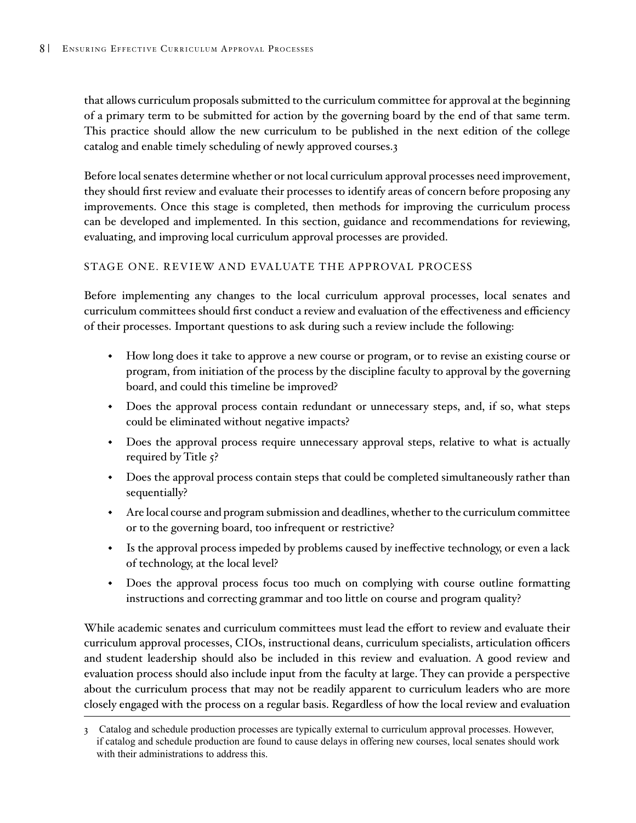that allows curriculum proposals submitted to the curriculum committee for approval at the beginning of a primary term to be submitted for action by the governing board by the end of that same term. This practice should allow the new curriculum to be published in the next edition of the college catalog and enable timely scheduling of newly approved courses.3

Before local senates determine whether or not local curriculum approval processes need improvement, they should first review and evaluate their processes to identify areas of concern before proposing any improvements. Once this stage is completed, then methods for improving the curriculum process can be developed and implemented. In this section, guidance and recommendations for reviewing, evaluating, and improving local curriculum approval processes are provided.

#### STAGE ONE. REVIEW AND EVALUATE THE APPROVAL PROCESS

Before implementing any changes to the local curriculum approval processes, local senates and curriculum committees should first conduct a review and evaluation of the effectiveness and efficiency of their processes. Important questions to ask during such a review include the following:

- How long does it take to approve a new course or program, or to revise an existing course or program, from initiation of the process by the discipline faculty to approval by the governing board, and could this timeline be improved?
- Does the approval process contain redundant or unnecessary steps, and, if so, what steps could be eliminated without negative impacts?
- Does the approval process require unnecessary approval steps, relative to what is actually required by Title 5?
- Does the approval process contain steps that could be completed simultaneously rather than sequentially?
- Are local course and program submission and deadlines, whether to the curriculum committee or to the governing board, too infrequent or restrictive?
- Is the approval process impeded by problems caused by ineffective technology, or even a lack of technology, at the local level?
- Does the approval process focus too much on complying with course outline formatting instructions and correcting grammar and too little on course and program quality?

While academic senates and curriculum committees must lead the effort to review and evaluate their curriculum approval processes, CIOs, instructional deans, curriculum specialists, articulation officers and student leadership should also be included in this review and evaluation. A good review and evaluation process should also include input from the faculty at large. They can provide a perspective about the curriculum process that may not be readily apparent to curriculum leaders who are more closely engaged with the process on a regular basis. Regardless of how the local review and evaluation

<sup>3</sup> Catalog and schedule production processes are typically external to curriculum approval processes. However, if catalog and schedule production are found to cause delays in offering new courses, local senates should work with their administrations to address this.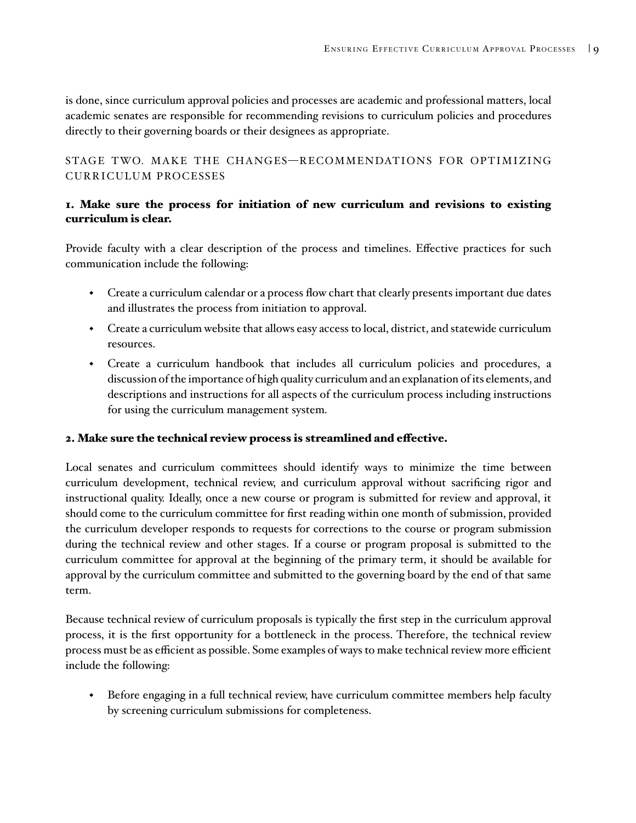<span id="page-12-0"></span>is done, since curriculum approval policies and processes are academic and professional matters, local academic senates are responsible for recommending revisions to curriculum policies and procedures directly to their governing boards or their designees as appropriate.

STAGE TWO. MAKE THE CHANGES—RECOMMENDATIONS FOR OPTIMIZING CURRICULUM PROCESSES

### 1. Make sure the process for initiation of new curriculum and revisions to existing curriculum is clear.

Provide faculty with a clear description of the process and timelines. Effective practices for such communication include the following:

- Create a curriculum calendar or a process flow chart that clearly presents important due dates and illustrates the process from initiation to approval.
- Create a curriculum website that allows easy access to local, district, and statewide curriculum resources.
- Create a curriculum handbook that includes all curriculum policies and procedures, a discussion of the importance of high quality curriculum and an explanation of its elements, and descriptions and instructions for all aspects of the curriculum process including instructions for using the curriculum management system.

### 2. Make sure the technical review process is streamlined and effective.

Local senates and curriculum committees should identify ways to minimize the time between curriculum development, technical review, and curriculum approval without sacrificing rigor and instructional quality. Ideally, once a new course or program is submitted for review and approval, it should come to the curriculum committee for first reading within one month of submission, provided the curriculum developer responds to requests for corrections to the course or program submission during the technical review and other stages. If a course or program proposal is submitted to the curriculum committee for approval at the beginning of the primary term, it should be available for approval by the curriculum committee and submitted to the governing board by the end of that same term.

Because technical review of curriculum proposals is typically the first step in the curriculum approval process, it is the first opportunity for a bottleneck in the process. Therefore, the technical review process must be as efficient as possible. Some examples of ways to make technical review more efficient include the following:

 Before engaging in a full technical review, have curriculum committee members help faculty by screening curriculum submissions for completeness.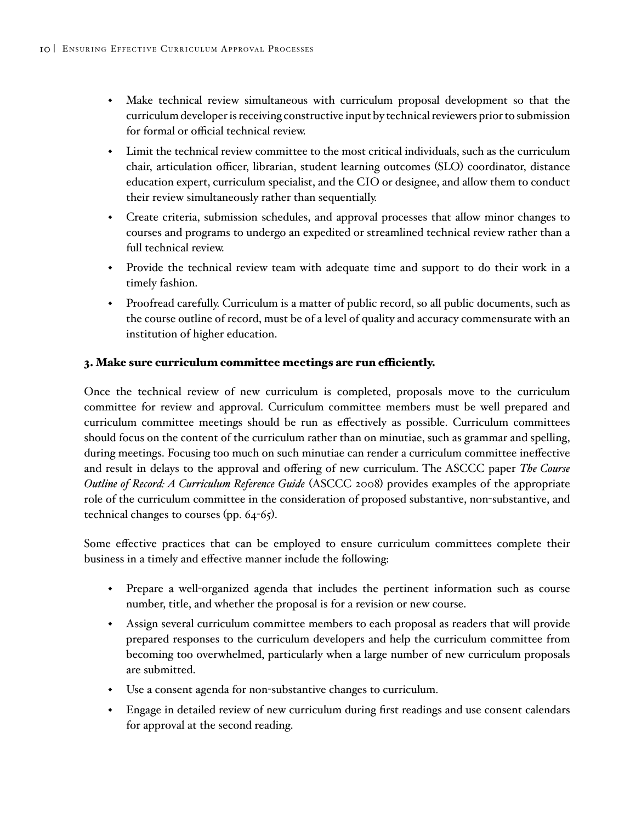- Make technical review simultaneous with curriculum proposal development so that the curriculum developer is receiving constructive input by technical reviewers prior to submission for formal or official technical review.
- Limit the technical review committee to the most critical individuals, such as the curriculum chair, articulation officer, librarian, student learning outcomes (SLO) coordinator, distance education expert, curriculum specialist, and the CIO or designee, and allow them to conduct their review simultaneously rather than sequentially.
- Create criteria, submission schedules, and approval processes that allow minor changes to courses and programs to undergo an expedited or streamlined technical review rather than a full technical review.
- Provide the technical review team with adequate time and support to do their work in a timely fashion.
- Proofread carefully. Curriculum is a matter of public record, so all public documents, such as the course outline of record, must be of a level of quality and accuracy commensurate with an institution of higher education.

### 3. Make sure curriculum committee meetings are run efficiently.

Once the technical review of new curriculum is completed, proposals move to the curriculum committee for review and approval. Curriculum committee members must be well prepared and curriculum committee meetings should be run as effectively as possible. Curriculum committees should focus on the content of the curriculum rather than on minutiae, such as grammar and spelling, during meetings. Focusing too much on such minutiae can render a curriculum committee ineffective and result in delays to the approval and offering of new curriculum. The ASCCC paper *The Course Outline of Record: A Curriculum Reference Guide* (ASCCC 2008) provides examples of the appropriate role of the curriculum committee in the consideration of proposed substantive, non-substantive, and technical changes to courses (pp. 64-65).

Some effective practices that can be employed to ensure curriculum committees complete their business in a timely and effective manner include the following:

- Prepare a well-organized agenda that includes the pertinent information such as course number, title, and whether the proposal is for a revision or new course.
- Assign several curriculum committee members to each proposal as readers that will provide prepared responses to the curriculum developers and help the curriculum committee from becoming too overwhelmed, particularly when a large number of new curriculum proposals are submitted.
- Use a consent agenda for non-substantive changes to curriculum.
- Engage in detailed review of new curriculum during first readings and use consent calendars for approval at the second reading.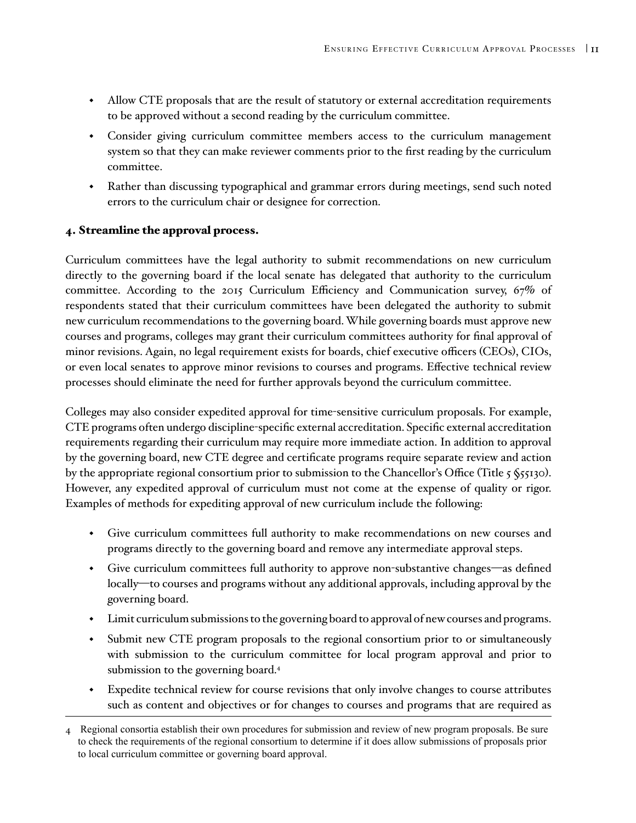- Allow CTE proposals that are the result of statutory or external accreditation requirements to be approved without a second reading by the curriculum committee.
- Consider giving curriculum committee members access to the curriculum management system so that they can make reviewer comments prior to the first reading by the curriculum committee.
- Rather than discussing typographical and grammar errors during meetings, send such noted errors to the curriculum chair or designee for correction.

### 4. Streamline the approval process.

Curriculum committees have the legal authority to submit recommendations on new curriculum directly to the governing board if the local senate has delegated that authority to the curriculum committee. According to the 2015 Curriculum Efficiency and Communication survey, 67% of respondents stated that their curriculum committees have been delegated the authority to submit new curriculum recommendations to the governing board. While governing boards must approve new courses and programs, colleges may grant their curriculum committees authority for final approval of minor revisions. Again, no legal requirement exists for boards, chief executive officers (CEOs), CIOs, or even local senates to approve minor revisions to courses and programs. Effective technical review processes should eliminate the need for further approvals beyond the curriculum committee.

Colleges may also consider expedited approval for time-sensitive curriculum proposals. For example, CTE programs often undergo discipline-specific external accreditation. Specific external accreditation requirements regarding their curriculum may require more immediate action. In addition to approval by the governing board, new CTE degree and certificate programs require separate review and action by the appropriate regional consortium prior to submission to the Chancellor's Office (Title 5 §55130). However, any expedited approval of curriculum must not come at the expense of quality or rigor. Examples of methods for expediting approval of new curriculum include the following:

- Give curriculum committees full authority to make recommendations on new courses and programs directly to the governing board and remove any intermediate approval steps.
- Give curriculum committees full authority to approve non-substantive changes—as defined locally—to courses and programs without any additional approvals, including approval by the governing board.
- Limit curriculum submissions to the governing board to approval of new courses and programs.
- Submit new CTE program proposals to the regional consortium prior to or simultaneously with submission to the curriculum committee for local program approval and prior to submission to the governing board. 4
- Expedite technical review for course revisions that only involve changes to course attributes such as content and objectives or for changes to courses and programs that are required as

<sup>4</sup> Regional consortia establish their own procedures for submission and review of new program proposals. Be sure to check the requirements of the regional consortium to determine if it does allow submissions of proposals prior to local curriculum committee or governing board approval.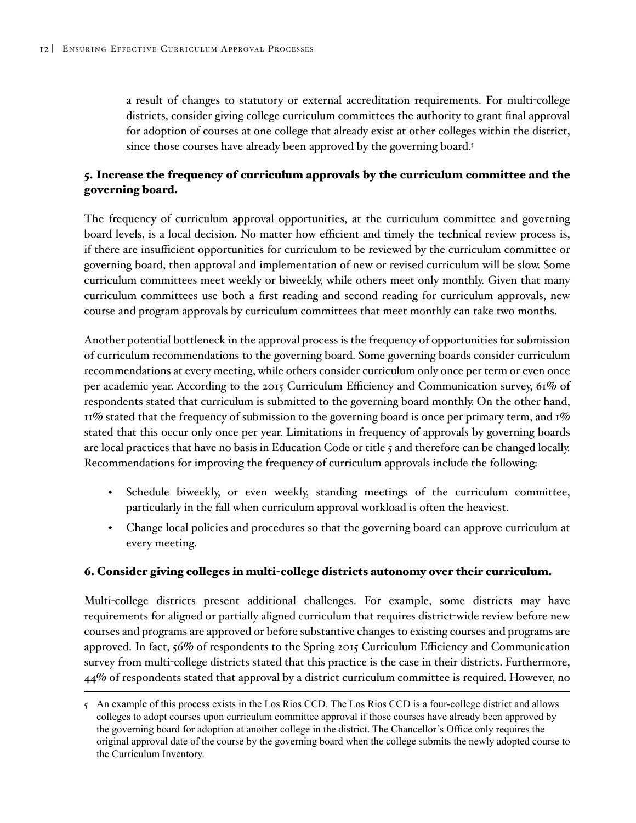a result of changes to statutory or external accreditation requirements. For multi-college districts, consider giving college curriculum committees the authority to grant final approval for adoption of courses at one college that already exist at other colleges within the district, since those courses have already been approved by the governing board. 5

### 5. Increase the frequency of curriculum approvals by the curriculum committee and the governing board.

The frequency of curriculum approval opportunities, at the curriculum committee and governing board levels, is a local decision. No matter how efficient and timely the technical review process is, if there are insufficient opportunities for curriculum to be reviewed by the curriculum committee or governing board, then approval and implementation of new or revised curriculum will be slow. Some curriculum committees meet weekly or biweekly, while others meet only monthly. Given that many curriculum committees use both a first reading and second reading for curriculum approvals, new course and program approvals by curriculum committees that meet monthly can take two months.

Another potential bottleneck in the approval process is the frequency of opportunities for submission of curriculum recommendations to the governing board. Some governing boards consider curriculum recommendations at every meeting, while others consider curriculum only once per term or even once per academic year. According to the 2015 Curriculum Efficiency and Communication survey, 61% of respondents stated that curriculum is submitted to the governing board monthly. On the other hand, 11% stated that the frequency of submission to the governing board is once per primary term, and 1% stated that this occur only once per year. Limitations in frequency of approvals by governing boards are local practices that have no basis in Education Code or title 5 and therefore can be changed locally. Recommendations for improving the frequency of curriculum approvals include the following:

- Schedule biweekly, or even weekly, standing meetings of the curriculum committee, particularly in the fall when curriculum approval workload is often the heaviest.
- Change local policies and procedures so that the governing board can approve curriculum at every meeting.

### 6. Consider giving colleges in multi-college districts autonomy over their curriculum.

Multi-college districts present additional challenges. For example, some districts may have requirements for aligned or partially aligned curriculum that requires district-wide review before new courses and programs are approved or before substantive changes to existing courses and programs are approved. In fact, 56% of respondents to the Spring 2015 Curriculum Efficiency and Communication survey from multi-college districts stated that this practice is the case in their districts. Furthermore, 44% of respondents stated that approval by a district curriculum committee is required. However, no

<sup>5</sup> An example of this process exists in the Los Rios CCD. The Los Rios CCD is a four-college district and allows colleges to adopt courses upon curriculum committee approval if those courses have already been approved by the governing board for adoption at another college in the district. The Chancellor's Office only requires the original approval date of the course by the governing board when the college submits the newly adopted course to the Curriculum Inventory.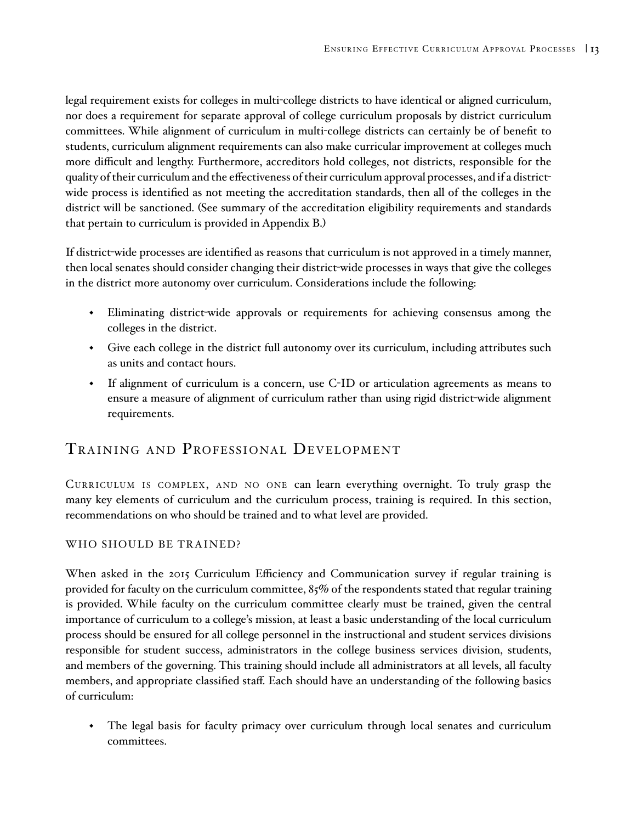<span id="page-16-0"></span>legal requirement exists for colleges in multi-college districts to have identical or aligned curriculum, nor does a requirement for separate approval of college curriculum proposals by district curriculum committees. While alignment of curriculum in multi-college districts can certainly be of benefit to students, curriculum alignment requirements can also make curricular improvement at colleges much more difficult and lengthy. Furthermore, accreditors hold colleges, not districts, responsible for the quality of their curriculum and the effectiveness of their curriculum approval processes, and if a districtwide process is identified as not meeting the accreditation standards, then all of the colleges in the district will be sanctioned. (See summary of the accreditation eligibility requirements and standards that pertain to curriculum is provided in Appendix B.)

If district-wide processes are identified as reasons that curriculum is not approved in a timely manner, then local senates should consider changing their district-wide processes in ways that give the colleges in the district more autonomy over curriculum. Considerations include the following:

- Eliminating district-wide approvals or requirements for achieving consensus among the colleges in the district.
- Give each college in the district full autonomy over its curriculum, including attributes such as units and contact hours.
- If alignment of curriculum is a concern, use C-ID or articulation agreements as means to ensure a measure of alignment of curriculum rather than using rigid district-wide alignment requirements.

# TRAINING AND PROFESSIONAL DEVELOPMENT

Curriculum is complex, and no one can learn everything overnight. To truly grasp the many key elements of curriculum and the curriculum process, training is required. In this section, recommendations on who should be trained and to what level are provided.

### WHO SHOULD BE TRAINED?

When asked in the 2015 Curriculum Efficiency and Communication survey if regular training is provided for faculty on the curriculum committee, 85% of the respondents stated that regular training is provided. While faculty on the curriculum committee clearly must be trained, given the central importance of curriculum to a college's mission, at least a basic understanding of the local curriculum process should be ensured for all college personnel in the instructional and student services divisions responsible for student success, administrators in the college business services division, students, and members of the governing. This training should include all administrators at all levels, all faculty members, and appropriate classified staff. Each should have an understanding of the following basics of curriculum:

 The legal basis for faculty primacy over curriculum through local senates and curriculum committees.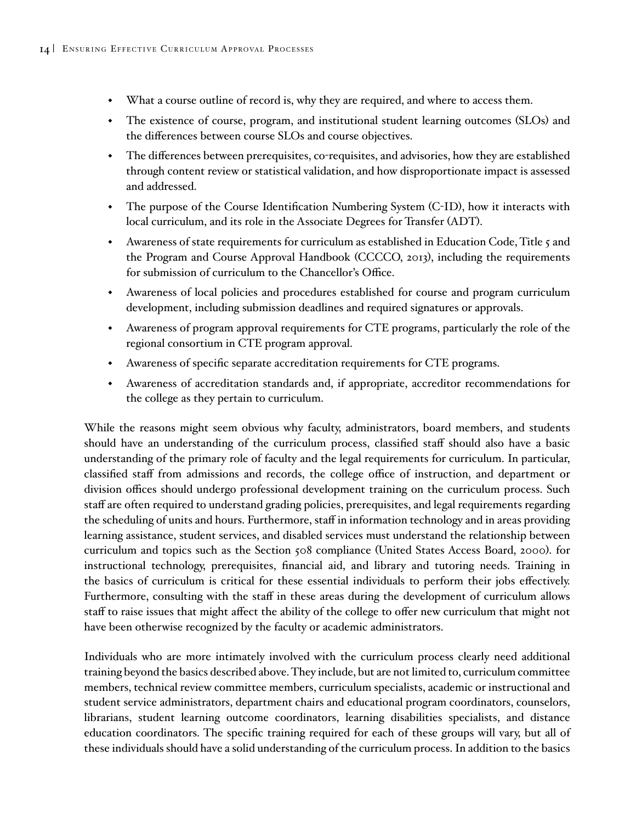- What a course outline of record is, why they are required, and where to access them.
- The existence of course, program, and institutional student learning outcomes (SLOs) and the differences between course SLOs and course objectives.
- The differences between prerequisites, co-requisites, and advisories, how they are established through content review or statistical validation, and how disproportionate impact is assessed and addressed.
- The purpose of the Course Identification Numbering System (C-ID), how it interacts with local curriculum, and its role in the Associate Degrees for Transfer (ADT).
- $\bullet$  Awareness of state requirements for curriculum as established in Education Code, Title 5 and the Program and Course Approval Handbook (CCCCO, 2013), including the requirements for submission of curriculum to the Chancellor's Office.
- Awareness of local policies and procedures established for course and program curriculum development, including submission deadlines and required signatures or approvals.
- Awareness of program approval requirements for CTE programs, particularly the role of the regional consortium in CTE program approval.
- Awareness of specific separate accreditation requirements for CTE programs.
- Awareness of accreditation standards and, if appropriate, accreditor recommendations for the college as they pertain to curriculum.

While the reasons might seem obvious why faculty, administrators, board members, and students should have an understanding of the curriculum process, classified staff should also have a basic understanding of the primary role of faculty and the legal requirements for curriculum. In particular, classified staff from admissions and records, the college office of instruction, and department or division offices should undergo professional development training on the curriculum process. Such staff are often required to understand grading policies, prerequisites, and legal requirements regarding the scheduling of units and hours. Furthermore, staff in information technology and in areas providing learning assistance, student services, and disabled services must understand the relationship between curriculum and topics such as the Section 508 compliance (United States Access Board, 2000). for instructional technology, prerequisites, financial aid, and library and tutoring needs. Training in the basics of curriculum is critical for these essential individuals to perform their jobs effectively. Furthermore, consulting with the staff in these areas during the development of curriculum allows staff to raise issues that might affect the ability of the college to offer new curriculum that might not have been otherwise recognized by the faculty or academic administrators.

Individuals who are more intimately involved with the curriculum process clearly need additional training beyond the basics described above. They include, but are not limited to, curriculum committee members, technical review committee members, curriculum specialists, academic or instructional and student service administrators, department chairs and educational program coordinators, counselors, librarians, student learning outcome coordinators, learning disabilities specialists, and distance education coordinators. The specific training required for each of these groups will vary, but all of these individuals should have a solid understanding of the curriculum process. In addition to the basics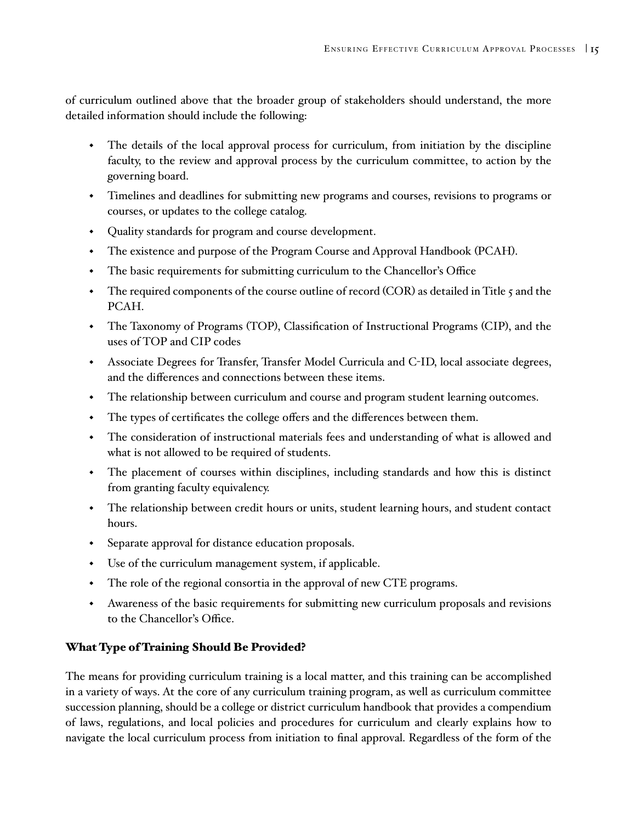<span id="page-18-0"></span>of curriculum outlined above that the broader group of stakeholders should understand, the more detailed information should include the following:

- The details of the local approval process for curriculum, from initiation by the discipline faculty, to the review and approval process by the curriculum committee, to action by the governing board.
- Timelines and deadlines for submitting new programs and courses, revisions to programs or courses, or updates to the college catalog.
- Quality standards for program and course development.
- The existence and purpose of the Program Course and Approval Handbook (PCAH).
- The basic requirements for submitting curriculum to the Chancellor's Office
- The required components of the course outline of record (COR) as detailed in Title 5 and the PCAH.
- The Taxonomy of Programs (TOP), Classification of Instructional Programs (CIP), and the uses of TOP and CIP codes
- Associate Degrees for Transfer, Transfer Model Curricula and C-ID, local associate degrees, and the differences and connections between these items.
- The relationship between curriculum and course and program student learning outcomes.
- The types of certificates the college offers and the differences between them.
- The consideration of instructional materials fees and understanding of what is allowed and what is not allowed to be required of students.
- The placement of courses within disciplines, including standards and how this is distinct from granting faculty equivalency.
- The relationship between credit hours or units, student learning hours, and student contact hours.
- Separate approval for distance education proposals.
- Use of the curriculum management system, if applicable.
- The role of the regional consortia in the approval of new CTE programs.
- Awareness of the basic requirements for submitting new curriculum proposals and revisions to the Chancellor's Office.

### What Type of Training Should Be Provided?

The means for providing curriculum training is a local matter, and this training can be accomplished in a variety of ways. At the core of any curriculum training program, as well as curriculum committee succession planning, should be a college or district curriculum handbook that provides a compendium of laws, regulations, and local policies and procedures for curriculum and clearly explains how to navigate the local curriculum process from initiation to final approval. Regardless of the form of the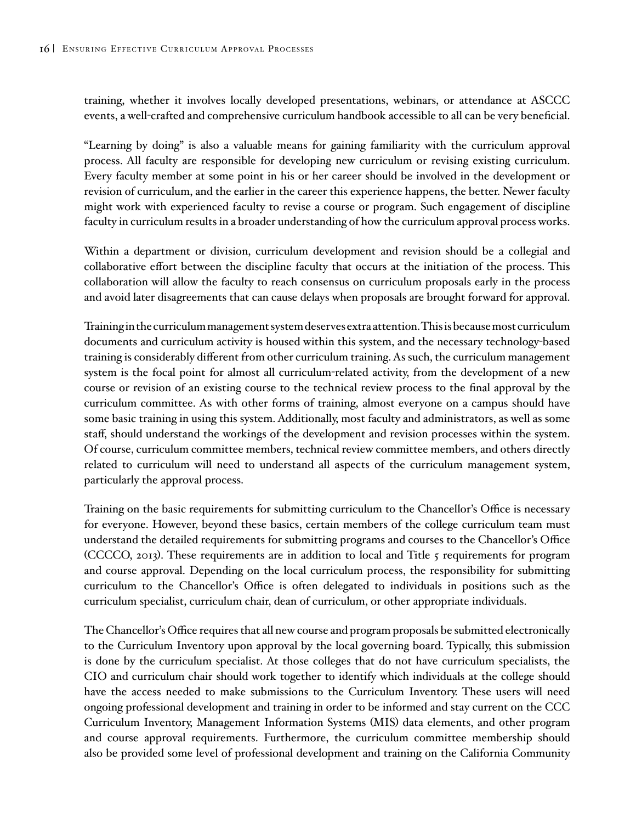training, whether it involves locally developed presentations, webinars, or attendance at ASCCC events, a well-crafted and comprehensive curriculum handbook accessible to all can be very beneficial.

"Learning by doing" is also a valuable means for gaining familiarity with the curriculum approval process. All faculty are responsible for developing new curriculum or revising existing curriculum. Every faculty member at some point in his or her career should be involved in the development or revision of curriculum, and the earlier in the career this experience happens, the better. Newer faculty might work with experienced faculty to revise a course or program. Such engagement of discipline faculty in curriculum results in a broader understanding of how the curriculum approval process works.

Within a department or division, curriculum development and revision should be a collegial and collaborative effort between the discipline faculty that occurs at the initiation of the process. This collaboration will allow the faculty to reach consensus on curriculum proposals early in the process and avoid later disagreements that can cause delays when proposals are brought forward for approval.

Training in the curriculum management system deserves extra attention. This is because most curriculum documents and curriculum activity is housed within this system, and the necessary technology-based training is considerably different from other curriculum training. As such, the curriculum management system is the focal point for almost all curriculum-related activity, from the development of a new course or revision of an existing course to the technical review process to the final approval by the curriculum committee. As with other forms of training, almost everyone on a campus should have some basic training in using this system. Additionally, most faculty and administrators, as well as some staff, should understand the workings of the development and revision processes within the system. Of course, curriculum committee members, technical review committee members, and others directly related to curriculum will need to understand all aspects of the curriculum management system, particularly the approval process.

Training on the basic requirements for submitting curriculum to the Chancellor's Office is necessary for everyone. However, beyond these basics, certain members of the college curriculum team must understand the detailed requirements for submitting programs and courses to the Chancellor's Office (CCCCO, 2013). These requirements are in addition to local and Title 5 requirements for program and course approval. Depending on the local curriculum process, the responsibility for submitting curriculum to the Chancellor's Office is often delegated to individuals in positions such as the curriculum specialist, curriculum chair, dean of curriculum, or other appropriate individuals.

The Chancellor's Office requires that all new course and program proposals be submitted electronically to the Curriculum Inventory upon approval by the local governing board. Typically, this submission is done by the curriculum specialist. At those colleges that do not have curriculum specialists, the CIO and curriculum chair should work together to identify which individuals at the college should have the access needed to make submissions to the Curriculum Inventory. These users will need ongoing professional development and training in order to be informed and stay current on the CCC Curriculum Inventory, Management Information Systems (MIS) data elements, and other program and course approval requirements. Furthermore, the curriculum committee membership should also be provided some level of professional development and training on the California Community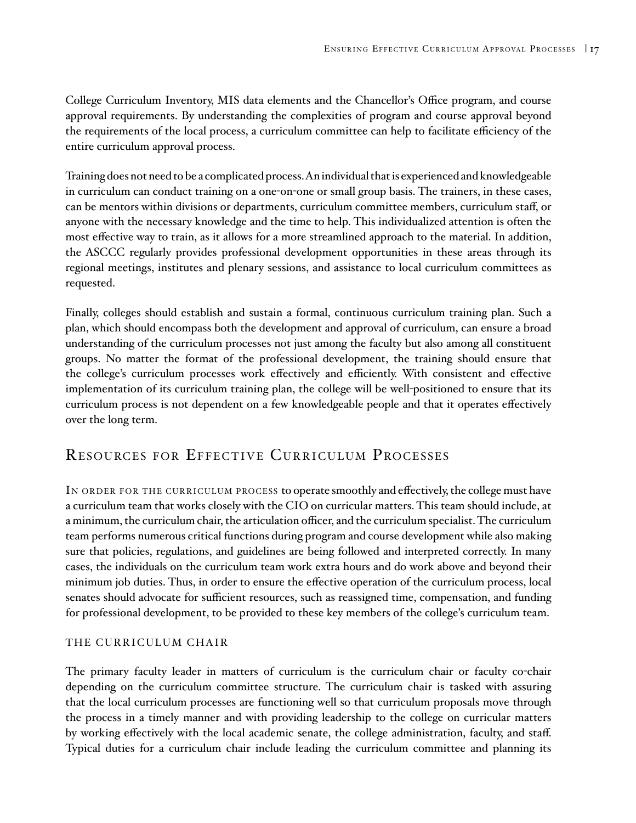<span id="page-20-0"></span>College Curriculum Inventory, MIS data elements and the Chancellor's Office program, and course approval requirements. By understanding the complexities of program and course approval beyond the requirements of the local process, a curriculum committee can help to facilitate efficiency of the entire curriculum approval process.

Training does not need to be a complicated process. An individual that is experienced and knowledgeable in curriculum can conduct training on a one-on-one or small group basis. The trainers, in these cases, can be mentors within divisions or departments, curriculum committee members, curriculum staff, or anyone with the necessary knowledge and the time to help. This individualized attention is often the most effective way to train, as it allows for a more streamlined approach to the material. In addition, the ASCCC regularly provides professional development opportunities in these areas through its regional meetings, institutes and plenary sessions, and assistance to local curriculum committees as requested.

Finally, colleges should establish and sustain a formal, continuous curriculum training plan. Such a plan, which should encompass both the development and approval of curriculum, can ensure a broad understanding of the curriculum processes not just among the faculty but also among all constituent groups. No matter the format of the professional development, the training should ensure that the college's curriculum processes work effectively and efficiently. With consistent and effective implementation of its curriculum training plan, the college will be well-positioned to ensure that its curriculum process is not dependent on a few knowledgeable people and that it operates effectively over the long term.

# RESOURCES FOR EFFECTIVE CURRICULUM PROCESSES

IN ORDER FOR THE CURRICULUM PROCESS to operate smoothly and effectively, the college must have a curriculum team that works closely with the CIO on curricular matters. This team should include, at a minimum, the curriculum chair, the articulation officer, and the curriculum specialist. The curriculum team performs numerous critical functions during program and course development while also making sure that policies, regulations, and guidelines are being followed and interpreted correctly. In many cases, the individuals on the curriculum team work extra hours and do work above and beyond their minimum job duties. Thus, in order to ensure the effective operation of the curriculum process, local senates should advocate for sufficient resources, such as reassigned time, compensation, and funding for professional development, to be provided to these key members of the college's curriculum team.

### THE CURRICULUM CHAIR

The primary faculty leader in matters of curriculum is the curriculum chair or faculty co-chair depending on the curriculum committee structure. The curriculum chair is tasked with assuring that the local curriculum processes are functioning well so that curriculum proposals move through the process in a timely manner and with providing leadership to the college on curricular matters by working effectively with the local academic senate, the college administration, faculty, and staff. Typical duties for a curriculum chair include leading the curriculum committee and planning its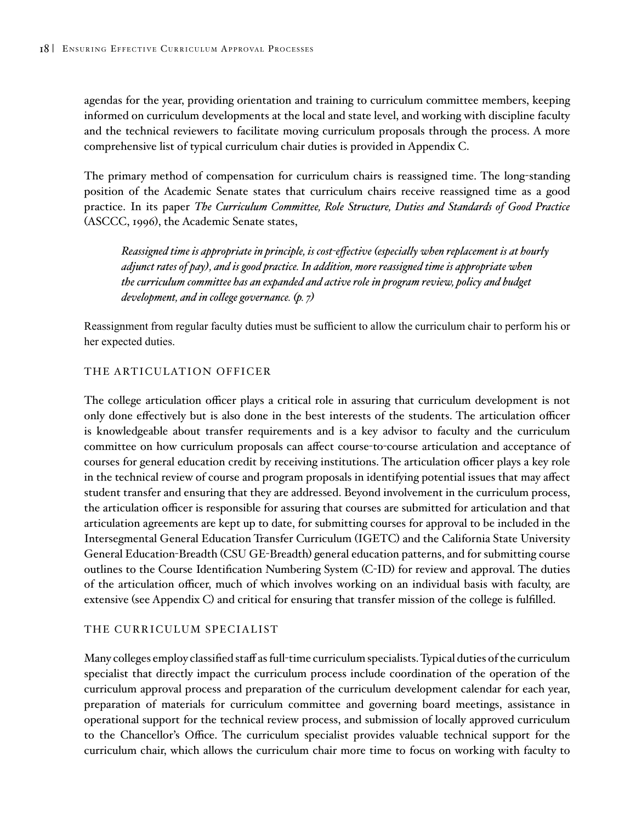<span id="page-21-0"></span>agendas for the year, providing orientation and training to curriculum committee members, keeping informed on curriculum developments at the local and state level, and working with discipline faculty and the technical reviewers to facilitate moving curriculum proposals through the process. A more comprehensive list of typical curriculum chair duties is provided in Appendix C.

The primary method of compensation for curriculum chairs is reassigned time. The long-standing position of the Academic Senate states that curriculum chairs receive reassigned time as a good practice. In its paper *The Curriculum Committee, Role Structure, Duties and Standards of Good Practice* (ASCCC, 1996), the Academic Senate states,

*Reassigned time is appropriate in principle, is cost-effective (especially when replacement is at hourly adjunct rates of pay), and is good practice. In addition, more reassigned time is appropriate when the curriculum committee has an expanded and active role in program review, policy and budget development, and in college governance. (p. 7)*

Reassignment from regular faculty duties must be sufficient to allow the curriculum chair to perform his or her expected duties.

#### THE ARTICULATION OFFICER

The college articulation officer plays a critical role in assuring that curriculum development is not only done effectively but is also done in the best interests of the students. The articulation officer is knowledgeable about transfer requirements and is a key advisor to faculty and the curriculum committee on how curriculum proposals can affect course-to-course articulation and acceptance of courses for general education credit by receiving institutions. The articulation officer plays a key role in the technical review of course and program proposals in identifying potential issues that may affect student transfer and ensuring that they are addressed. Beyond involvement in the curriculum process, the articulation officer is responsible for assuring that courses are submitted for articulation and that articulation agreements are kept up to date, for submitting courses for approval to be included in the Intersegmental General Education Transfer Curriculum (IGETC) and the California State University General Education-Breadth (CSU GE-Breadth) general education patterns, and for submitting course outlines to the Course Identification Numbering System (C-ID) for review and approval. The duties of the articulation officer, much of which involves working on an individual basis with faculty, are extensive (see Appendix C) and critical for ensuring that transfer mission of the college is fulfilled.

#### THE CURRICULUM SPECIALIST

Many colleges employ classified staff as full-time curriculum specialists. Typical duties of the curriculum specialist that directly impact the curriculum process include coordination of the operation of the curriculum approval process and preparation of the curriculum development calendar for each year, preparation of materials for curriculum committee and governing board meetings, assistance in operational support for the technical review process, and submission of locally approved curriculum to the Chancellor's Office. The curriculum specialist provides valuable technical support for the curriculum chair, which allows the curriculum chair more time to focus on working with faculty to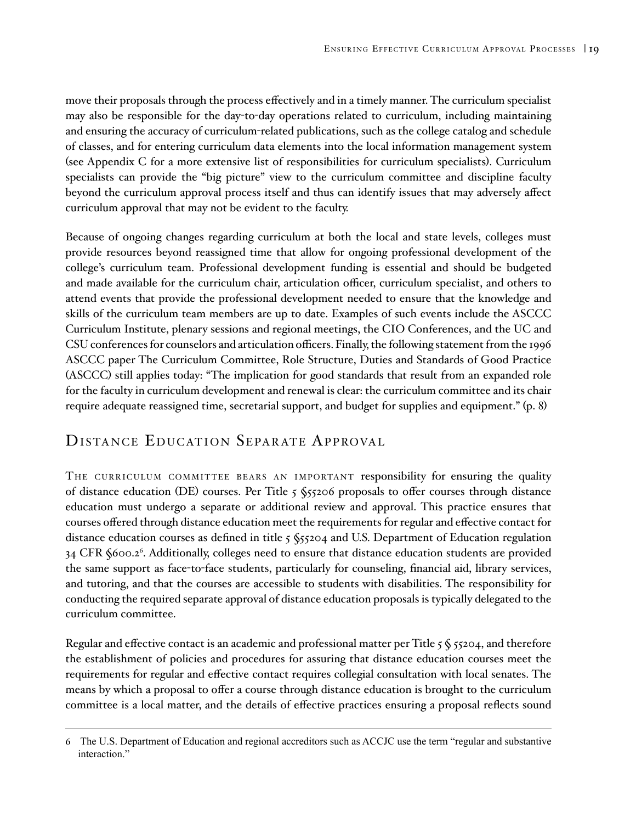<span id="page-22-0"></span>move their proposals through the process effectively and in a timely manner. The curriculum specialist may also be responsible for the day-to-day operations related to curriculum, including maintaining and ensuring the accuracy of curriculum-related publications, such as the college catalog and schedule of classes, and for entering curriculum data elements into the local information management system (see Appendix C for a more extensive list of responsibilities for curriculum specialists). Curriculum specialists can provide the "big picture" view to the curriculum committee and discipline faculty beyond the curriculum approval process itself and thus can identify issues that may adversely affect curriculum approval that may not be evident to the faculty.

Because of ongoing changes regarding curriculum at both the local and state levels, colleges must provide resources beyond reassigned time that allow for ongoing professional development of the college's curriculum team. Professional development funding is essential and should be budgeted and made available for the curriculum chair, articulation officer, curriculum specialist, and others to attend events that provide the professional development needed to ensure that the knowledge and skills of the curriculum team members are up to date. Examples of such events include the ASCCC Curriculum Institute, plenary sessions and regional meetings, the CIO Conferences, and the UC and CSU conferences for counselors and articulation officers. Finally, the following statement from the 1996 ASCCC paper The Curriculum Committee, Role Structure, Duties and Standards of Good Practice (ASCCC) still applies today: "The implication for good standards that result from an expanded role for the faculty in curriculum development and renewal is clear: the curriculum committee and its chair require adequate reassigned time, secretarial support, and budget for supplies and equipment." (p. 8)

# DISTANCE EDUCATION SEPARATE APPROVAL

THE CURRICULUM COMMITTEE BEARS AN IMPORTANT responsibility for ensuring the quality of distance education (DE) courses. Per Title 5 §55206 proposals to offer courses through distance education must undergo a separate or additional review and approval. This practice ensures that courses offered through distance education meet the requirements for regular and effective contact for distance education courses as defined in title 5 §55204 and U.S. Department of Education regulation 34 CFR §600.2<sup>6</sup>. Additionally, colleges need to ensure that distance education students are provided the same support as face-to-face students, particularly for counseling, financial aid, library services, and tutoring, and that the courses are accessible to students with disabilities. The responsibility for conducting the required separate approval of distance education proposals is typically delegated to the curriculum committee.

Regular and effective contact is an academic and professional matter per Title  $5\frac{6}{55204}$ , and therefore the establishment of policies and procedures for assuring that distance education courses meet the requirements for regular and effective contact requires collegial consultation with local senates. The means by which a proposal to offer a course through distance education is brought to the curriculum committee is a local matter, and the details of effective practices ensuring a proposal reflects sound

<sup>6</sup> The U.S. Department of Education and regional accreditors such as ACCJC use the term "regular and substantive interaction."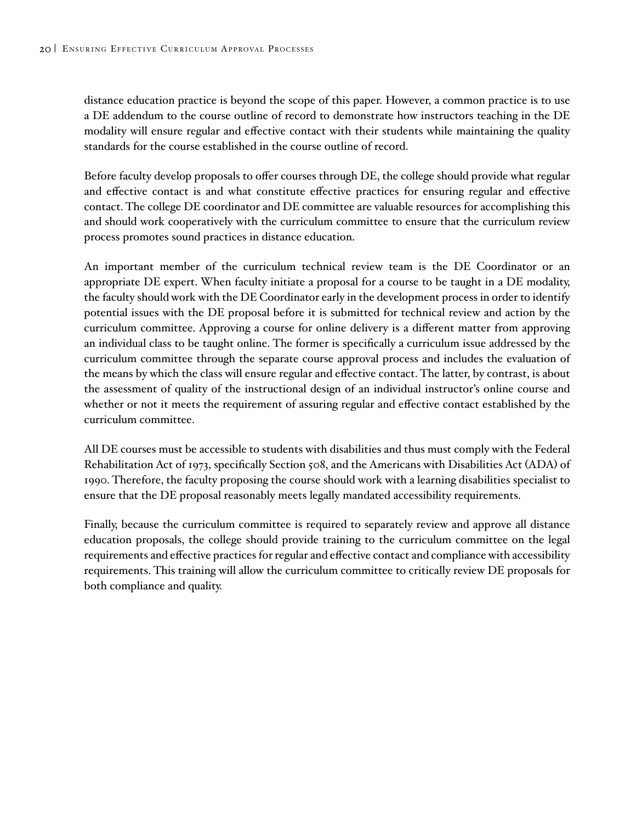distance education practice is beyond the scope of this paper. However, a common practice is to use a DE addendum to the course outline of record to demonstrate how instructors teaching in the DE modality will ensure regular and effective contact with their students while maintaining the quality standards for the course established in the course outline of record.

Before faculty develop proposals to offer courses through DE, the college should provide what regular and effective contact is and what constitute effective practices for ensuring regular and effective contact. The college DE coordinator and DE committee are valuable resources for accomplishing this and should work cooperatively with the curriculum committee to ensure that the curriculum review process promotes sound practices in distance education.

An important member of the curriculum technical review team is the DE Coordinator or an appropriate DE expert. When faculty initiate a proposal for a course to be taught in a DE modality, the faculty should work with the DE Coordinator early in the development process in order to identify potential issues with the DE proposal before it is submitted for technical review and action by the curriculum committee. Approving a course for online delivery is a different matter from approving an individual class to be taught online. The former is specifically a curriculum issue addressed by the curriculum committee through the separate course approval process and includes the evaluation of the means by which the class will ensure regular and effective contact. The latter, by contrast, is about the assessment of quality of the instructional design of an individual instructor's online course and whether or not it meets the requirement of assuring regular and effective contact established by the curriculum committee.

All DE courses must be accessible to students with disabilities and thus must comply with the Federal Rehabilitation Act of 1973, specifically Section 508, and the Americans with Disabilities Act (ADA) of 1990. Therefore, the faculty proposing the course should work with a learning disabilities specialist to ensure that the DE proposal reasonably meets legally mandated accessibility requirements.

Finally, because the curriculum committee is required to separately review and approve all distance education proposals, the college should provide training to the curriculum committee on the legal requirements and effective practices for regular and effective contact and compliance with accessibility requirements. This training will allow the curriculum committee to critically review DE proposals for both compliance and quality.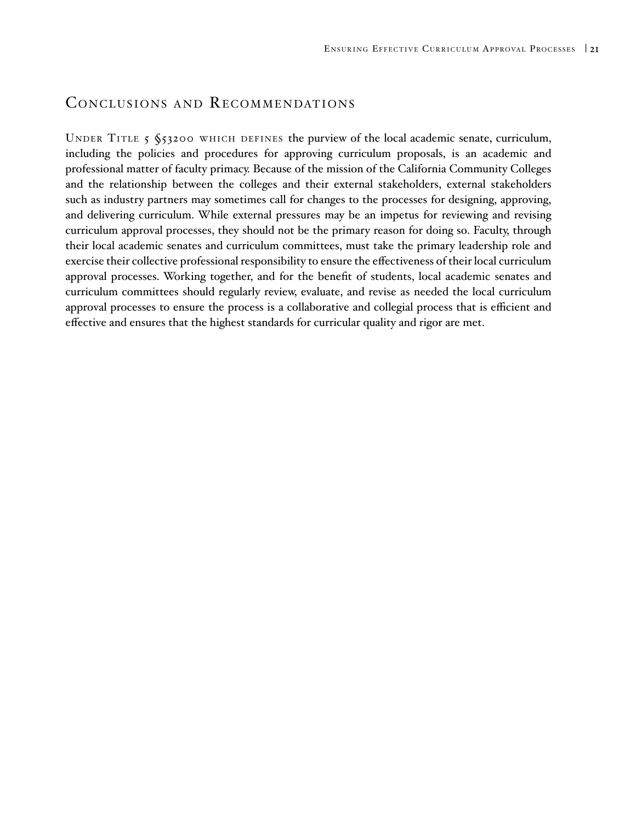## <span id="page-24-0"></span>CONCLUSIONS AND RECOMMENDATIONS

UNDER TITLE 5 §53200 WHICH DEFINES the purview of the local academic senate, curriculum, including the policies and procedures for approving curriculum proposals, is an academic and professional matter of faculty primacy. Because of the mission of the California Community Colleges and the relationship between the colleges and their external stakeholders, external stakeholders such as industry partners may sometimes call for changes to the processes for designing, approving, and delivering curriculum. While external pressures may be an impetus for reviewing and revising curriculum approval processes, they should not be the primary reason for doing so. Faculty, through their local academic senates and curriculum committees, must take the primary leadership role and exercise their collective professional responsibility to ensure the effectiveness of their local curriculum approval processes. Working together, and for the benefit of students, local academic senates and curriculum committees should regularly review, evaluate, and revise as needed the local curriculum approval processes to ensure the process is a collaborative and collegial process that is efficient and effective and ensures that the highest standards for curricular quality and rigor are met.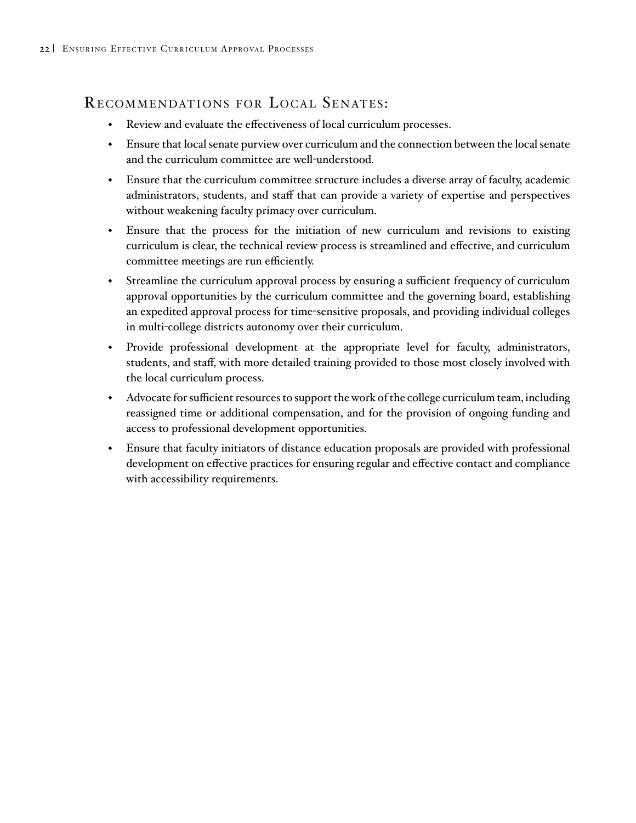# RECOMMENDATIONS FOR LOCAL SENATES:

- Review and evaluate the effectiveness of local curriculum processes.
- Ensure that local senate purview over curriculum and the connection between the local senate and the curriculum committee are well-understood.
- Ensure that the curriculum committee structure includes a diverse array of faculty, academic administrators, students, and staff that can provide a variety of expertise and perspectives without weakening faculty primacy over curriculum.
- Ensure that the process for the initiation of new curriculum and revisions to existing curriculum is clear, the technical review process is streamlined and effective, and curriculum committee meetings are run efficiently.
- Streamline the curriculum approval process by ensuring a sufficient frequency of curriculum approval opportunities by the curriculum committee and the governing board, establishing an expedited approval process for time-sensitive proposals, and providing individual colleges in multi-college districts autonomy over their curriculum.
- Provide professional development at the appropriate level for faculty, administrators, students, and staff, with more detailed training provided to those most closely involved with the local curriculum process.
- Advocate for sufficient resources to support the work of the college curriculum team, including reassigned time or additional compensation, and for the provision of ongoing funding and access to professional development opportunities.
- Ensure that faculty initiators of distance education proposals are provided with professional development on effective practices for ensuring regular and effective contact and compliance with accessibility requirements.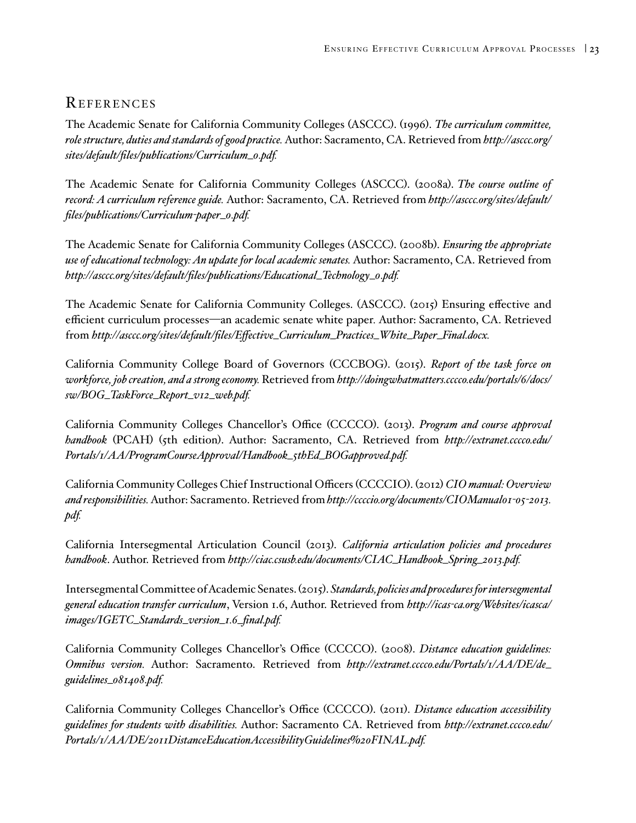### REFERENCES

The Academic Senate for California Community Colleges (ASCCC). (1996). *The curriculum committee, role structure, duties and standards of good practice.* Author: Sacramento, CA. Retrieved from *[http://asccc.org/](http://asccc.org/sites/default/files/publications/Curriculum_0.pdf) [sites/default/files/publications/Curriculum\\_0.pdf](http://asccc.org/sites/default/files/publications/Curriculum_0.pdf).*

The Academic Senate for California Community Colleges (ASCCC). (2008a). *The course outline of record: A curriculum reference guide.* Author: Sacramento, CA. Retrieved from *[http://asccc.org/sites/default/](http://asccc.org/sites/default/files/publications/Curriculum-paper_0.pdf) [files/publications/Curriculum-paper\\_0.pdf](http://asccc.org/sites/default/files/publications/Curriculum-paper_0.pdf).*

The Academic Senate for California Community Colleges (ASCCC). (2008b). *Ensuring the appropriate use of educational technology: An update for local academic senates.* Author: Sacramento, CA. Retrieved from *[http://asccc.org/sites/default/files/publications/Educational\\_Technology\\_0.pdf.](http://asccc.org/sites/default/files/publications/Educational_Technology_0.pdf)*

The Academic Senate for California Community Colleges. (ASCCC). (2015) Ensuring effective and efficient curriculum processes—an academic senate white paper*.* Author: Sacramento, CA. Retrieved from *[http://asccc.org/sites/default/files/Effective\\_Curriculum\\_Practices\\_White\\_Paper\\_Final.docx](http://asccc.org/sites/default/files/Effective_Curriculum_Practices_White_Paper_Final.docx).*

California Community College Board of Governors (CCCBOG). (2015). *Report of the task force on workforce, job creation, and a strong economy.* Retrieved from *[http://doingwhatmatters.cccco.edu/portals/6/docs/](http://doingwhatmatters.cccco.edu/portals/6/docs/sw/BOG_TaskForce_Report_v12_web.pdf) [sw/BOG\\_TaskForce\\_Report\\_v12\\_web.pdf.](http://doingwhatmatters.cccco.edu/portals/6/docs/sw/BOG_TaskForce_Report_v12_web.pdf)*

California Community Colleges Chancellor's Office (CCCCO). (2013). *Program and course approval handbook* (PCAH) (5th edition). Author: Sacramento, CA. Retrieved from *[http://extranet.cccco.edu/](http://extranet.cccco.edu/Portals/1/AA/ProgramCourseApproval/Handbook_5thEd_BOGapproved.pdf) [Portals/1/AA/ProgramCourseApproval/Handbook\\_5thEd\\_BOGapproved.pdf](http://extranet.cccco.edu/Portals/1/AA/ProgramCourseApproval/Handbook_5thEd_BOGapproved.pdf).*

California Community Colleges Chief Instructional Officers (CCCCIO). (2012) *CIO manual: Overview and responsibilities.* Author: Sacramento. Retrieved from *[http://ccccio.org/documents/CIOManual01-05-2013.](http://ccccio.org/documents/CIOManual01-05-2013.pdf) [pdf.](http://ccccio.org/documents/CIOManual01-05-2013.pdf)*

California Intersegmental Articulation Council (2013). *California articulation policies and procedures handbook*. Author. Retrieved from *[http://ciac.csusb.edu/documents/CIAC\\_Handbook\\_Spring\\_2013.pdf](http://ciac.csusb.edu/documents/CIAC_Handbook_Spring_2013.pdf).*

Intersegmental Committee of Academic Senates. (2015). *Standards, policies and procedures for intersegmental general education transfer curriculum*, Version 1.6, Author. Retrieved from *[http://icas-ca.org/Websites/icasca/](http://icas-ca.org/Websites/icasca/images/IGETC_Standards_version_1.6_final.pdf) [images/IGETC\\_Standards\\_version\\_1.6\\_final.pdf](http://icas-ca.org/Websites/icasca/images/IGETC_Standards_version_1.6_final.pdf).*

California Community Colleges Chancellor's Office (CCCCO). (2008). *Distance education guidelines: Omnibus version.* Author: Sacramento. Retrieved from *[http://extranet.cccco.edu/Portals/1/AA/DE/de\\_](http://extranet.cccco.edu/Portals/1/AA/DE/de_guidelines_081408.pdf) [guidelines\\_081408.pdf.](http://extranet.cccco.edu/Portals/1/AA/DE/de_guidelines_081408.pdf)*

California Community Colleges Chancellor's Office (CCCCO). (2011). *Distance education accessibility guidelines for students with disabilities.* Author: Sacramento CA. Retrieved from *[http://extranet.cccco.edu/](http://extranet.cccco.edu/Portals/1/AA/DE/2011DistanceEducationAccessibilityGuidelines%20FINAL.pdf) [Portals/1/AA/DE/2011DistanceEducationAccessibilityGuidelines%20FINAL.pdf.](http://extranet.cccco.edu/Portals/1/AA/DE/2011DistanceEducationAccessibilityGuidelines%20FINAL.pdf)*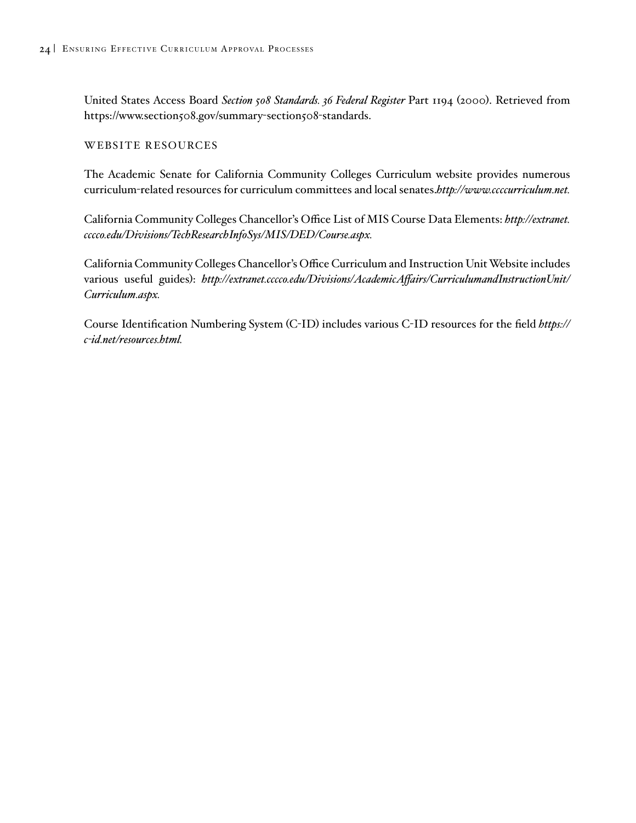<span id="page-27-0"></span>United States Access Board *Section 508 Standards. 36 Federal Register* Part 1194 (2000). Retrieved from https://www.section508.gov/summary-section508-standards.

#### WEBSITE RESOURCES

The Academic Senate for California Community Colleges Curriculum website provides numerous curriculum-related resources for curriculum committees and local senates.*<http://www.ccccurriculum.net>.*

California Community Colleges Chancellor's Office List of MIS Course Data Elements: *[http://extranet.](http://extranet.cccco.edu/Divisions/TechResearchInfoSys/MIS/DED/Course.aspx) [cccco.edu/Divisions/TechResearchInfoSys/MIS/DED/Course.aspx](http://extranet.cccco.edu/Divisions/TechResearchInfoSys/MIS/DED/Course.aspx).*

California Community Colleges Chancellor's Office Curriculum and Instruction Unit Website includes various useful guides): *[http://extranet.cccco.edu/Divisions/AcademicAffairs/CurriculumandInstructionUnit/](http://extranet.cccco.edu/Divisions/AcademicAffairs/CurriculumandInstructionUnit/Curriculum.aspx) [Curriculum.aspx.](http://extranet.cccco.edu/Divisions/AcademicAffairs/CurriculumandInstructionUnit/Curriculum.aspx)*

Course Identification Numbering System (C-ID) includes various C-ID resources for the field *[https://](https://c-id.net/resources.html) [c-id.net/resources.html](https://c-id.net/resources.html).*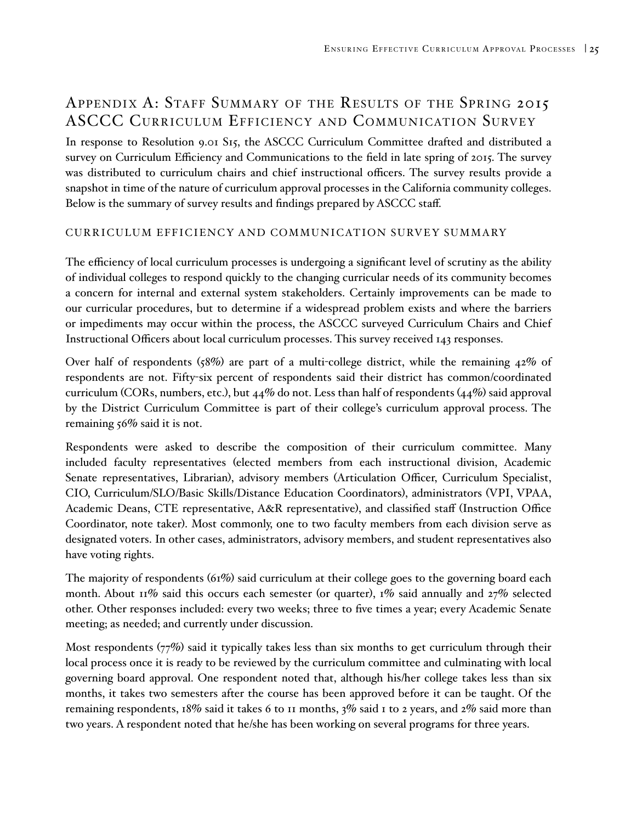# Appendix A: Staff Summary of the Results of the Spring 2015 ASCCC Curriculum Efficiency and Communication Survey

In response to Resolution 9.01 S15, the ASCCC Curriculum Committee drafted and distributed a survey on Curriculum Efficiency and Communications to the field in late spring of 2015. The survey was distributed to curriculum chairs and chief instructional officers. The survey results provide a snapshot in time of the nature of curriculum approval processes in the California community colleges. Below is the summary of survey results and findings prepared by ASCCC staff.

### CURRICULUM EFFICIENCY AND COMMUNICATION SURVEY SUMMARY

The efficiency of local curriculum processes is undergoing a significant level of scrutiny as the ability of individual colleges to respond quickly to the changing curricular needs of its community becomes a concern for internal and external system stakeholders. Certainly improvements can be made to our curricular procedures, but to determine if a widespread problem exists and where the barriers or impediments may occur within the process, the ASCCC surveyed Curriculum Chairs and Chief Instructional Officers about local curriculum processes. This survey received 143 responses.

Over half of respondents (58%) are part of a multi-college district, while the remaining 42% of respondents are not. Fifty-six percent of respondents said their district has common/coordinated curriculum (CORs, numbers, etc.), but 44% do not. Less than half of respondents (44%) said approval by the District Curriculum Committee is part of their college's curriculum approval process. The remaining 56% said it is not.

Respondents were asked to describe the composition of their curriculum committee. Many included faculty representatives (elected members from each instructional division, Academic Senate representatives, Librarian), advisory members (Articulation Officer, Curriculum Specialist, CIO, Curriculum/SLO/Basic Skills/Distance Education Coordinators), administrators (VPI, VPAA, Academic Deans, CTE representative, A&R representative), and classified staff (Instruction Office Coordinator, note taker). Most commonly, one to two faculty members from each division serve as designated voters. In other cases, administrators, advisory members, and student representatives also have voting rights.

The majority of respondents (61%) said curriculum at their college goes to the governing board each month. About 11% said this occurs each semester (or quarter), 1% said annually and  $27\%$  selected other. Other responses included: every two weeks; three to five times a year; every Academic Senate meeting; as needed; and currently under discussion.

Most respondents  $(77%)$  said it typically takes less than six months to get curriculum through their local process once it is ready to be reviewed by the curriculum committee and culminating with local governing board approval. One respondent noted that, although his/her college takes less than six months, it takes two semesters after the course has been approved before it can be taught. Of the remaining respondents, 18% said it takes 6 to 11 months, 3% said 1 to 2 years, and 2% said more than two years. A respondent noted that he/she has been working on several programs for three years.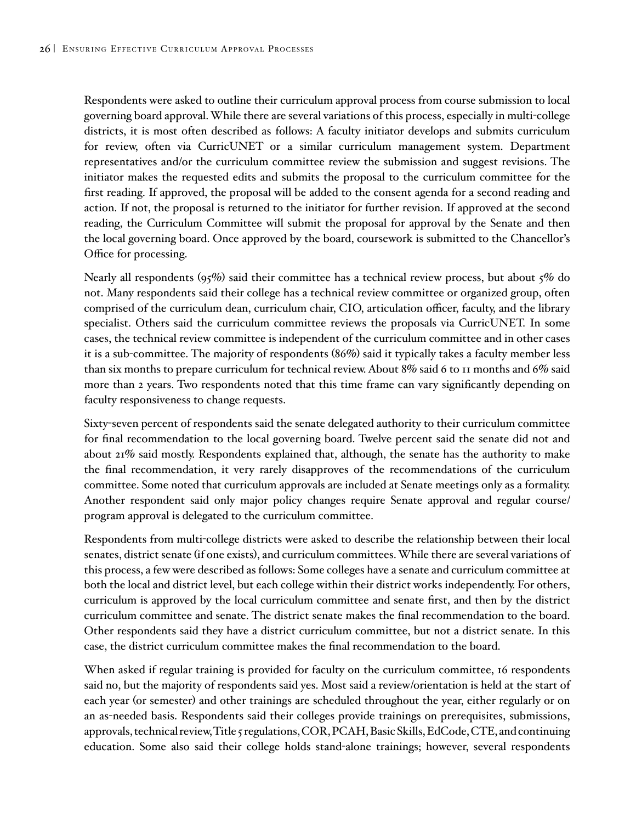<span id="page-29-0"></span>Respondents were asked to outline their curriculum approval process from course submission to local governing board approval. While there are several variations of this process, especially in multi-college districts, it is most often described as follows: A faculty initiator develops and submits curriculum for review, often via CurricUNET or a similar curriculum management system. Department representatives and/or the curriculum committee review the submission and suggest revisions. The initiator makes the requested edits and submits the proposal to the curriculum committee for the first reading. If approved, the proposal will be added to the consent agenda for a second reading and action. If not, the proposal is returned to the initiator for further revision. If approved at the second reading, the Curriculum Committee will submit the proposal for approval by the Senate and then the local governing board. Once approved by the board, coursework is submitted to the Chancellor's Office for processing.

Nearly all respondents  $(95\%)$  said their committee has a technical review process, but about  $5\%$  do not. Many respondents said their college has a technical review committee or organized group, often comprised of the curriculum dean, curriculum chair, CIO, articulation officer, faculty, and the library specialist. Others said the curriculum committee reviews the proposals via CurricUNET. In some cases, the technical review committee is independent of the curriculum committee and in other cases it is a sub-committee. The majority of respondents (86%) said it typically takes a faculty member less than six months to prepare curriculum for technical review. About 8% said 6 to 11 months and 6% said more than 2 years. Two respondents noted that this time frame can vary significantly depending on faculty responsiveness to change requests.

Sixty-seven percent of respondents said the senate delegated authority to their curriculum committee for final recommendation to the local governing board. Twelve percent said the senate did not and about 21% said mostly. Respondents explained that, although, the senate has the authority to make the final recommendation, it very rarely disapproves of the recommendations of the curriculum committee. Some noted that curriculum approvals are included at Senate meetings only as a formality. Another respondent said only major policy changes require Senate approval and regular course/ program approval is delegated to the curriculum committee.

Respondents from multi-college districts were asked to describe the relationship between their local senates, district senate (if one exists), and curriculum committees. While there are several variations of this process, a few were described as follows: Some colleges have a senate and curriculum committee at both the local and district level, but each college within their district works independently. For others, curriculum is approved by the local curriculum committee and senate first, and then by the district curriculum committee and senate. The district senate makes the final recommendation to the board. Other respondents said they have a district curriculum committee, but not a district senate. In this case, the district curriculum committee makes the final recommendation to the board.

When asked if regular training is provided for faculty on the curriculum committee, 16 respondents said no, but the majority of respondents said yes. Most said a review/orientation is held at the start of each year (or semester) and other trainings are scheduled throughout the year, either regularly or on an as-needed basis. Respondents said their colleges provide trainings on prerequisites, submissions, approvals, technical review, Title 5 regulations, COR, PCAH, Basic Skills, EdCode, CTE, and continuing education. Some also said their college holds stand-alone trainings; however, several respondents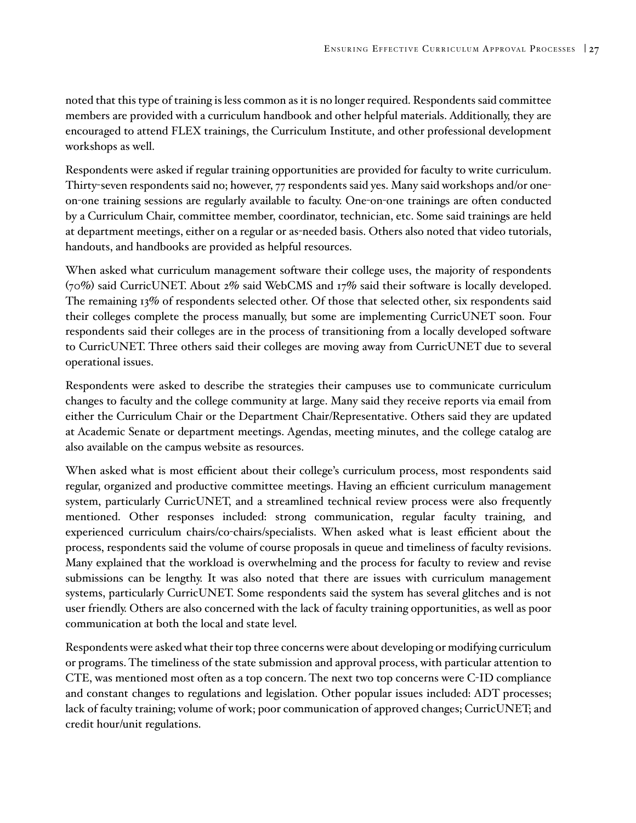noted that this type of training is less common as it is no longer required. Respondents said committee members are provided with a curriculum handbook and other helpful materials. Additionally, they are encouraged to attend FLEX trainings, the Curriculum Institute, and other professional development workshops as well.

Respondents were asked if regular training opportunities are provided for faculty to write curriculum. Thirty-seven respondents said no; however, 77 respondents said yes. Many said workshops and/or oneon-one training sessions are regularly available to faculty. One-on-one trainings are often conducted by a Curriculum Chair, committee member, coordinator, technician, etc. Some said trainings are held at department meetings, either on a regular or as-needed basis. Others also noted that video tutorials, handouts, and handbooks are provided as helpful resources.

When asked what curriculum management software their college uses, the majority of respondents (70%) said CurricUNET. About 2% said WebCMS and 17% said their software is locally developed. The remaining 13% of respondents selected other. Of those that selected other, six respondents said their colleges complete the process manually, but some are implementing CurricUNET soon. Four respondents said their colleges are in the process of transitioning from a locally developed software to CurricUNET. Three others said their colleges are moving away from CurricUNET due to several operational issues.

Respondents were asked to describe the strategies their campuses use to communicate curriculum changes to faculty and the college community at large. Many said they receive reports via email from either the Curriculum Chair or the Department Chair/Representative. Others said they are updated at Academic Senate or department meetings. Agendas, meeting minutes, and the college catalog are also available on the campus website as resources.

When asked what is most efficient about their college's curriculum process, most respondents said regular, organized and productive committee meetings. Having an efficient curriculum management system, particularly CurricUNET, and a streamlined technical review process were also frequently mentioned. Other responses included: strong communication, regular faculty training, and experienced curriculum chairs/co-chairs/specialists. When asked what is least efficient about the process, respondents said the volume of course proposals in queue and timeliness of faculty revisions. Many explained that the workload is overwhelming and the process for faculty to review and revise submissions can be lengthy. It was also noted that there are issues with curriculum management systems, particularly CurricUNET. Some respondents said the system has several glitches and is not user friendly. Others are also concerned with the lack of faculty training opportunities, as well as poor communication at both the local and state level.

Respondents were asked what their top three concerns were about developing or modifying curriculum or programs. The timeliness of the state submission and approval process, with particular attention to CTE, was mentioned most often as a top concern. The next two top concerns were C-ID compliance and constant changes to regulations and legislation. Other popular issues included: ADT processes; lack of faculty training; volume of work; poor communication of approved changes; CurricUNET; and credit hour/unit regulations.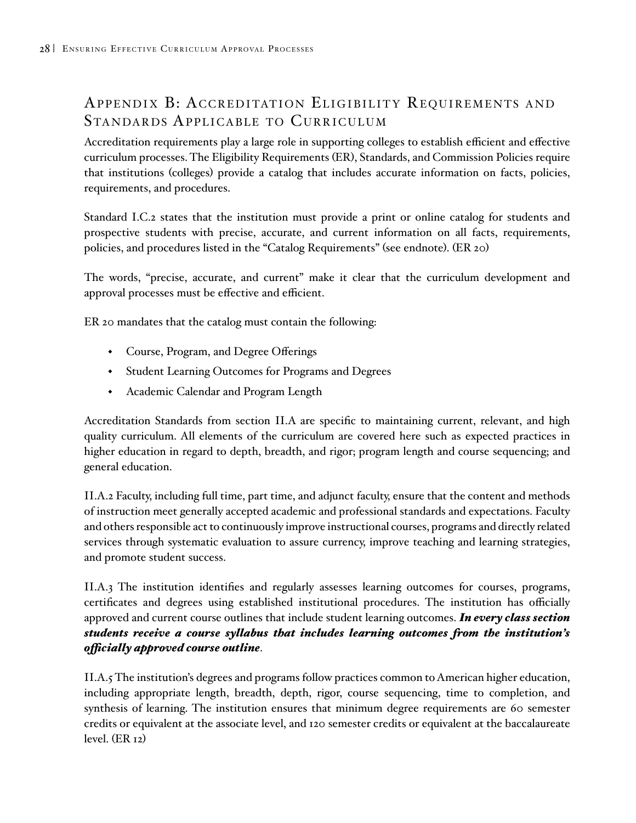# APPENDIX B: ACCREDITATION ELIGIBILITY REQUIREMENTS AND STANDARDS APPLICABLE TO CURRICULUM

Accreditation requirements play a large role in supporting colleges to establish efficient and effective curriculum processes. The Eligibility Requirements (ER), Standards, and Commission Policies require that institutions (colleges) provide a catalog that includes accurate information on facts, policies, requirements, and procedures.

Standard I.C.2 states that the institution must provide a print or online catalog for students and prospective students with precise, accurate, and current information on all facts, requirements, policies, and procedures listed in the "Catalog Requirements" (see endnote). (ER 20)

The words, "precise, accurate, and current" make it clear that the curriculum development and approval processes must be effective and efficient.

ER 20 mandates that the catalog must contain the following:

- Course, Program, and Degree Offerings
- Student Learning Outcomes for Programs and Degrees
- Academic Calendar and Program Length

Accreditation Standards from section II.A are specific to maintaining current, relevant, and high quality curriculum. All elements of the curriculum are covered here such as expected practices in higher education in regard to depth, breadth, and rigor; program length and course sequencing; and general education.

II.A.2 Faculty, including full time, part time, and adjunct faculty, ensure that the content and methods of instruction meet generally accepted academic and professional standards and expectations. Faculty and others responsible act to continuously improve instructional courses, programs and directly related services through systematic evaluation to assure currency, improve teaching and learning strategies, and promote student success.

II.A.3 The institution identifies and regularly assesses learning outcomes for courses, programs, certificates and degrees using established institutional procedures. The institution has officially approved and current course outlines that include student learning outcomes. *In every class section students receive a course syllabus that includes learning outcomes from the institution's officially approved course outline*.

II.A.5 The institution's degrees and programs follow practices common to American higher education, including appropriate length, breadth, depth, rigor, course sequencing, time to completion, and synthesis of learning. The institution ensures that minimum degree requirements are 60 semester credits or equivalent at the associate level, and 120 semester credits or equivalent at the baccalaureate level. (ER 12)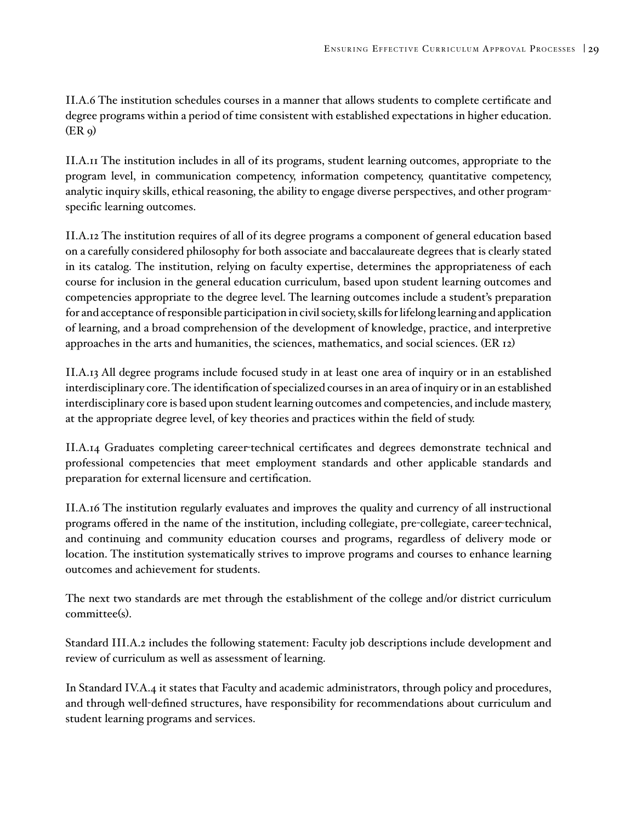II.A.6 The institution schedules courses in a manner that allows students to complete certificate and degree programs within a period of time consistent with established expectations in higher education.  $(ER<sub>9</sub>)$ 

II.A.11 The institution includes in all of its programs, student learning outcomes, appropriate to the program level, in communication competency, information competency, quantitative competency, analytic inquiry skills, ethical reasoning, the ability to engage diverse perspectives, and other programspecific learning outcomes.

II.A.12 The institution requires of all of its degree programs a component of general education based on a carefully considered philosophy for both associate and baccalaureate degrees that is clearly stated in its catalog. The institution, relying on faculty expertise, determines the appropriateness of each course for inclusion in the general education curriculum, based upon student learning outcomes and competencies appropriate to the degree level. The learning outcomes include a student's preparation for and acceptance of responsible participation in civil society, skills for lifelong learning and application of learning, and a broad comprehension of the development of knowledge, practice, and interpretive approaches in the arts and humanities, the sciences, mathematics, and social sciences. (ER 12)

II.A.13 All degree programs include focused study in at least one area of inquiry or in an established interdisciplinary core. The identification of specialized courses in an area of inquiry or in an established interdisciplinary core is based upon student learning outcomes and competencies, and include mastery, at the appropriate degree level, of key theories and practices within the field of study.

II.A.14 Graduates completing career-technical certificates and degrees demonstrate technical and professional competencies that meet employment standards and other applicable standards and preparation for external licensure and certification.

II.A.16 The institution regularly evaluates and improves the quality and currency of all instructional programs offered in the name of the institution, including collegiate, pre-collegiate, career-technical, and continuing and community education courses and programs, regardless of delivery mode or location. The institution systematically strives to improve programs and courses to enhance learning outcomes and achievement for students.

The next two standards are met through the establishment of the college and/or district curriculum committee(s).

Standard III.A.2 includes the following statement: Faculty job descriptions include development and review of curriculum as well as assessment of learning.

In Standard IV.A.4 it states that Faculty and academic administrators, through policy and procedures, and through well-defined structures, have responsibility for recommendations about curriculum and student learning programs and services.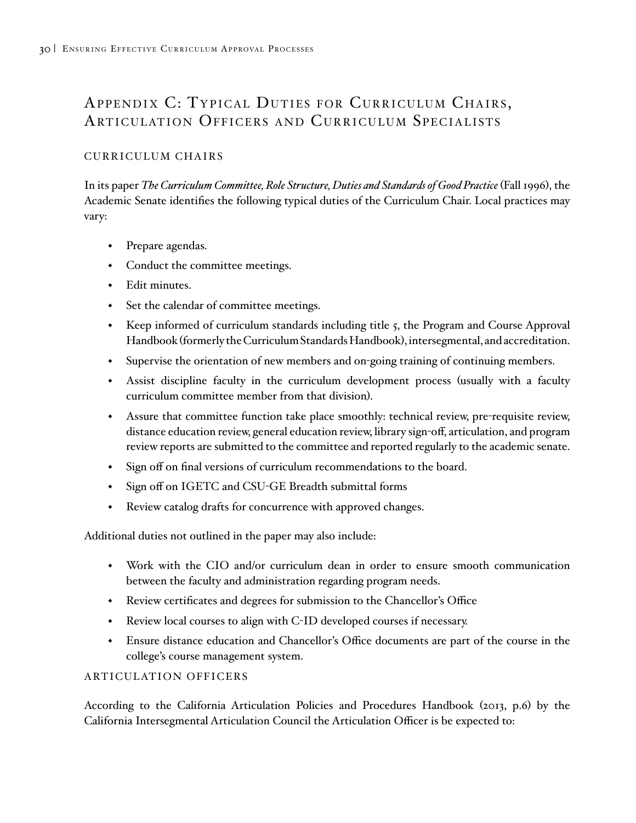# APPENDIX C: TYPICAL DUTIES FOR CURRICULUM CHAIRS, ARTICULATION OFFICERS AND CURRICULUM SPECIALISTS

### CURRICULUM CHAIRS

In its paper *The Curriculum Committee, Role Structure, Duties and Standards of Good Practice* (Fall 1996), the Academic Senate identifies the following typical duties of the Curriculum Chair. Local practices may vary:

- Prepare agendas.
- Conduct the committee meetings.
- Edit minutes.
- Set the calendar of committee meetings.
- Keep informed of curriculum standards including title 5, the Program and Course Approval Handbook (formerly the Curriculum Standards Handbook), intersegmental, and accreditation.
- Supervise the orientation of new members and on-going training of continuing members.
- Assist discipline faculty in the curriculum development process (usually with a faculty curriculum committee member from that division).
- Assure that committee function take place smoothly: technical review, pre-requisite review, distance education review, general education review, library sign-off, articulation, and program review reports are submitted to the committee and reported regularly to the academic senate.
- Sign off on final versions of curriculum recommendations to the board.
- Sign off on IGETC and CSU-GE Breadth submittal forms
- Review catalog drafts for concurrence with approved changes.

Additional duties not outlined in the paper may also include:

- Work with the CIO and/or curriculum dean in order to ensure smooth communication between the faculty and administration regarding program needs.
- Review certificates and degrees for submission to the Chancellor's Office
- Review local courses to align with C-ID developed courses if necessary.
- Ensure distance education and Chancellor's Office documents are part of the course in the college's course management system.

### ARTICULATION OFFICERS

According to the California Articulation Policies and Procedures Handbook (2013, p.6) by the California Intersegmental Articulation Council the Articulation Officer is be expected to: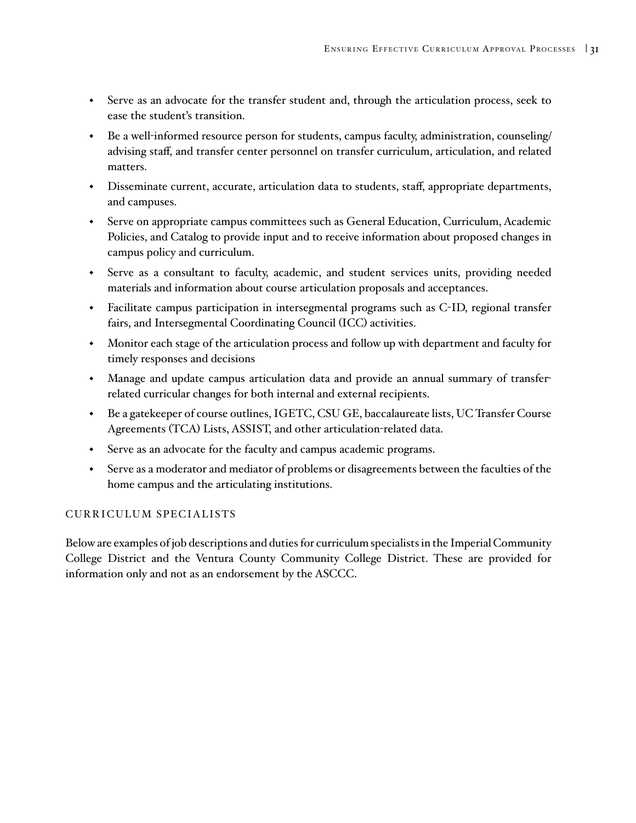- Serve as an advocate for the transfer student and, through the articulation process, seek to ease the student's transition.
- Be a well-informed resource person for students, campus faculty, administration, counseling/ advising staff, and transfer center personnel on transfer curriculum, articulation, and related matters.
- Disseminate current, accurate, articulation data to students, staff, appropriate departments, and campuses.
- Serve on appropriate campus committees such as General Education, Curriculum, Academic Policies, and Catalog to provide input and to receive information about proposed changes in campus policy and curriculum.
- Serve as a consultant to faculty, academic, and student services units, providing needed materials and information about course articulation proposals and acceptances.
- Facilitate campus participation in intersegmental programs such as C-ID, regional transfer fairs, and Intersegmental Coordinating Council (ICC) activities.
- Monitor each stage of the articulation process and follow up with department and faculty for timely responses and decisions
- Manage and update campus articulation data and provide an annual summary of transferrelated curricular changes for both internal and external recipients.
- Be a gatekeeper of course outlines, IGETC, CSU GE, baccalaureate lists, UC Transfer Course Agreements (TCA) Lists, ASSIST, and other articulation-related data.
- Serve as an advocate for the faculty and campus academic programs.
- Serve as a moderator and mediator of problems or disagreements between the faculties of the home campus and the articulating institutions.

#### CURRICULUM SPECIALISTS

Below are examples of job descriptions and duties for curriculum specialists in the Imperial Community College District and the Ventura County Community College District. These are provided for information only and not as an endorsement by the ASCCC.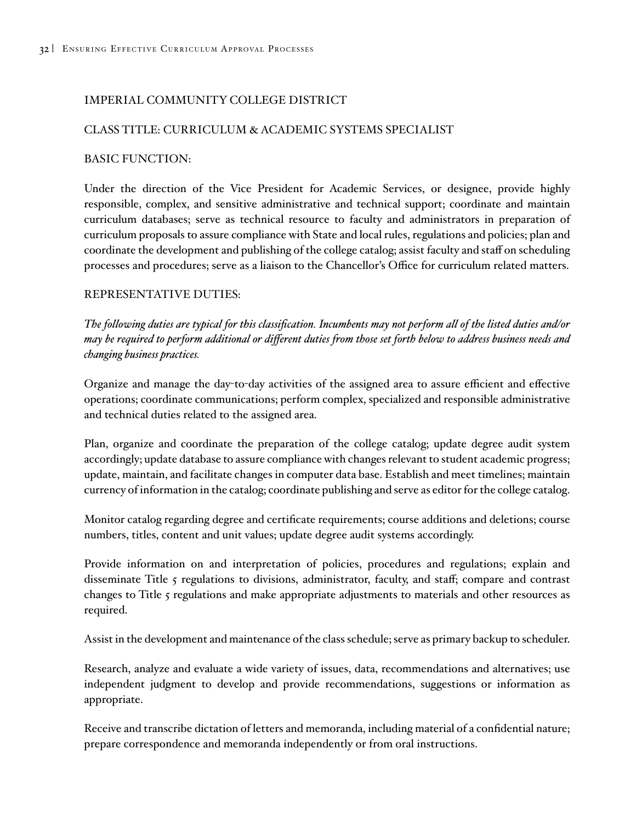### IMPERIAL COMMUNITY COLLEGE DISTRICT

### CLASS TITLE: CURRICULUM & ACADEMIC SYSTEMS SPECIALIST

#### BASIC FUNCTION:

Under the direction of the Vice President for Academic Services, or designee, provide highly responsible, complex, and sensitive administrative and technical support; coordinate and maintain curriculum databases; serve as technical resource to faculty and administrators in preparation of curriculum proposals to assure compliance with State and local rules, regulations and policies; plan and coordinate the development and publishing of the college catalog; assist faculty and staff on scheduling processes and procedures; serve as a liaison to the Chancellor's Office for curriculum related matters.

### REPRESENTATIVE DUTIES:

*The following duties are typical for this classification. Incumbents may not perform all of the listed duties and/or may be required to perform additional or different duties from those set forth below to address business needs and changing business practices.*

Organize and manage the day-to-day activities of the assigned area to assure efficient and effective operations; coordinate communications; perform complex, specialized and responsible administrative and technical duties related to the assigned area.

Plan, organize and coordinate the preparation of the college catalog; update degree audit system accordingly; update database to assure compliance with changes relevant to student academic progress; update, maintain, and facilitate changes in computer data base. Establish and meet timelines; maintain currency of information in the catalog; coordinate publishing and serve as editor for the college catalog.

Monitor catalog regarding degree and certificate requirements; course additions and deletions; course numbers, titles, content and unit values; update degree audit systems accordingly.

Provide information on and interpretation of policies, procedures and regulations; explain and disseminate Title 5 regulations to divisions, administrator, faculty, and staff; compare and contrast changes to Title 5 regulations and make appropriate adjustments to materials and other resources as required.

Assist in the development and maintenance of the class schedule; serve as primary backup to scheduler.

Research, analyze and evaluate a wide variety of issues, data, recommendations and alternatives; use independent judgment to develop and provide recommendations, suggestions or information as appropriate.

Receive and transcribe dictation of letters and memoranda, including material of a confidential nature; prepare correspondence and memoranda independently or from oral instructions.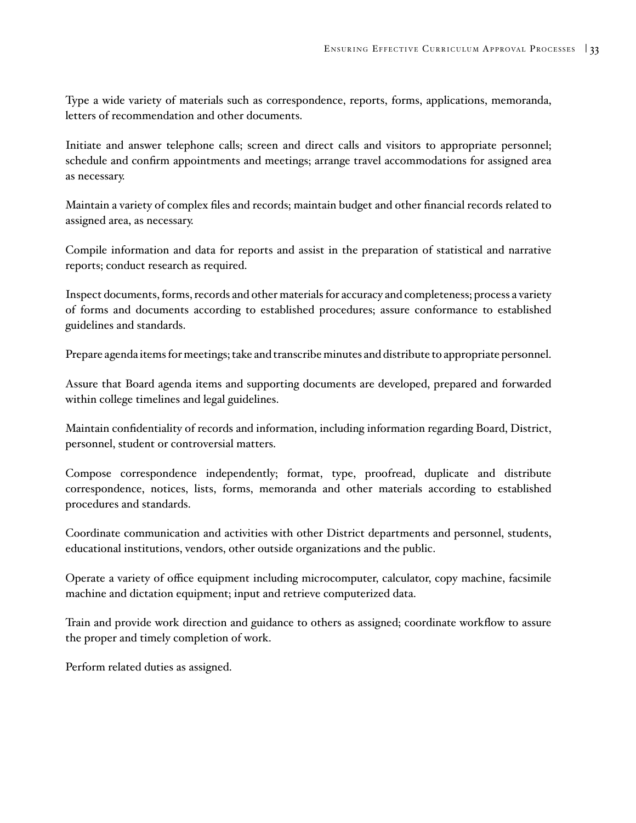<span id="page-36-0"></span>Type a wide variety of materials such as correspondence, reports, forms, applications, memoranda, letters of recommendation and other documents.

Initiate and answer telephone calls; screen and direct calls and visitors to appropriate personnel; schedule and confirm appointments and meetings; arrange travel accommodations for assigned area as necessary.

Maintain a variety of complex files and records; maintain budget and other financial records related to assigned area, as necessary.

Compile information and data for reports and assist in the preparation of statistical and narrative reports; conduct research as required.

Inspect documents, forms, records and other materials for accuracy and completeness; process a variety of forms and documents according to established procedures; assure conformance to established guidelines and standards.

Prepare agenda items for meetings; take and transcribe minutes and distribute to appropriate personnel.

Assure that Board agenda items and supporting documents are developed, prepared and forwarded within college timelines and legal guidelines.

Maintain confidentiality of records and information, including information regarding Board, District, personnel, student or controversial matters.

Compose correspondence independently; format, type, proofread, duplicate and distribute correspondence, notices, lists, forms, memoranda and other materials according to established procedures and standards.

Coordinate communication and activities with other District departments and personnel, students, educational institutions, vendors, other outside organizations and the public.

Operate a variety of office equipment including microcomputer, calculator, copy machine, facsimile machine and dictation equipment; input and retrieve computerized data.

Train and provide work direction and guidance to others as assigned; coordinate workflow to assure the proper and timely completion of work.

Perform related duties as assigned.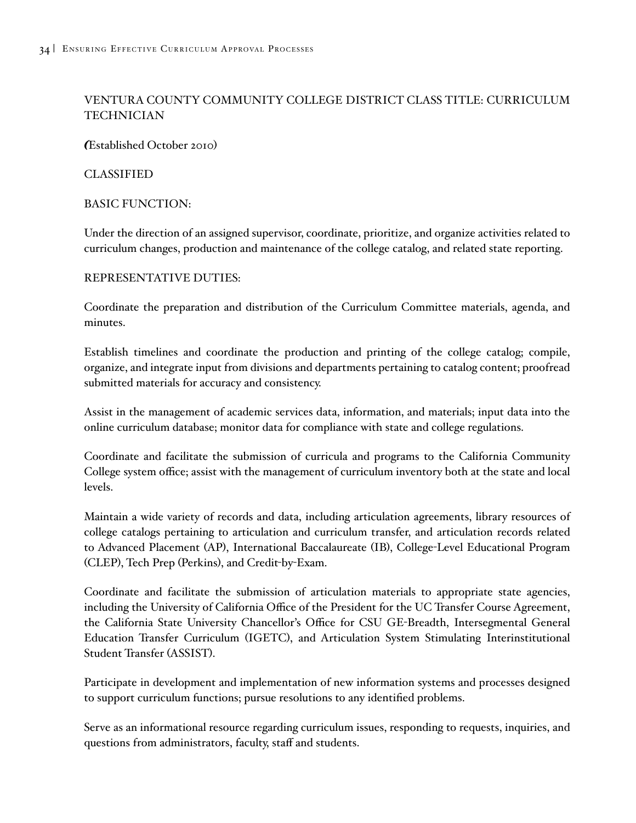### VENTURA COUNTY COMMUNITY COLLEGE DISTRICT CLASS TITLE: CURRICULUM **TECHNICIAN**

*(*Established October 2010)

### CLASSIFIED

### BASIC FUNCTION:

Under the direction of an assigned supervisor, coordinate, prioritize, and organize activities related to curriculum changes, production and maintenance of the college catalog, and related state reporting.

#### REPRESENTATIVE DUTIES:

Coordinate the preparation and distribution of the Curriculum Committee materials, agenda, and minutes.

Establish timelines and coordinate the production and printing of the college catalog; compile, organize, and integrate input from divisions and departments pertaining to catalog content; proofread submitted materials for accuracy and consistency.

Assist in the management of academic services data, information, and materials; input data into the online curriculum database; monitor data for compliance with state and college regulations.

Coordinate and facilitate the submission of curricula and programs to the California Community College system office; assist with the management of curriculum inventory both at the state and local levels.

Maintain a wide variety of records and data, including articulation agreements, library resources of college catalogs pertaining to articulation and curriculum transfer, and articulation records related to Advanced Placement (AP), International Baccalaureate (IB), College-Level Educational Program (CLEP), Tech Prep (Perkins), and Credit-by-Exam.

Coordinate and facilitate the submission of articulation materials to appropriate state agencies, including the University of California Office of the President for the UC Transfer Course Agreement, the California State University Chancellor's Office for CSU GE-Breadth, Intersegmental General Education Transfer Curriculum (IGETC), and Articulation System Stimulating Interinstitutional Student Transfer (ASSIST).

Participate in development and implementation of new information systems and processes designed to support curriculum functions; pursue resolutions to any identified problems.

Serve as an informational resource regarding curriculum issues, responding to requests, inquiries, and questions from administrators, faculty, staff and students.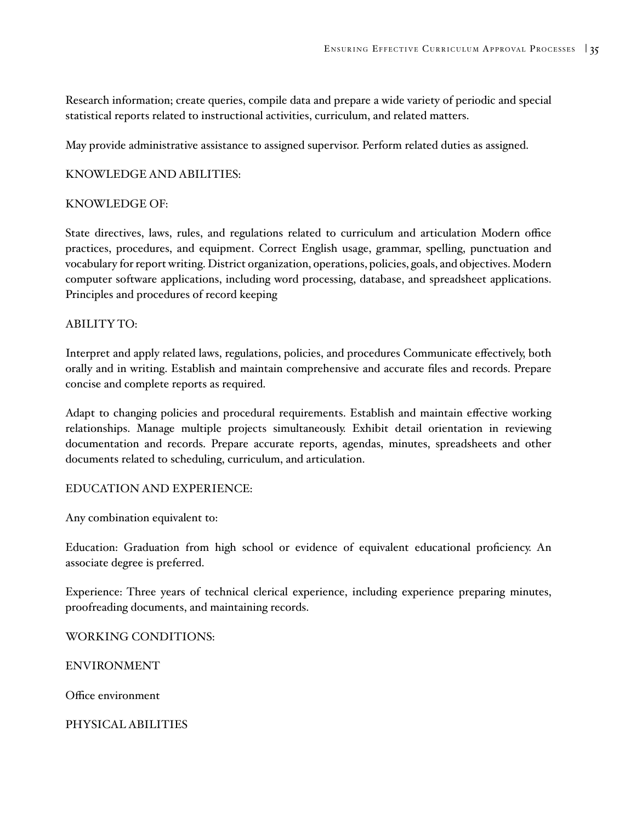Research information; create queries, compile data and prepare a wide variety of periodic and special statistical reports related to instructional activities, curriculum, and related matters.

May provide administrative assistance to assigned supervisor. Perform related duties as assigned.

### KNOWLEDGE AND ABILITIES:

#### KNOWLEDGE OF:

State directives, laws, rules, and regulations related to curriculum and articulation Modern office practices, procedures, and equipment. Correct English usage, grammar, spelling, punctuation and vocabulary for report writing. District organization, operations, policies, goals, and objectives. Modern computer software applications, including word processing, database, and spreadsheet applications. Principles and procedures of record keeping

#### ABILITY TO:

Interpret and apply related laws, regulations, policies, and procedures Communicate effectively, both orally and in writing. Establish and maintain comprehensive and accurate files and records. Prepare concise and complete reports as required.

Adapt to changing policies and procedural requirements. Establish and maintain effective working relationships. Manage multiple projects simultaneously. Exhibit detail orientation in reviewing documentation and records. Prepare accurate reports, agendas, minutes, spreadsheets and other documents related to scheduling, curriculum, and articulation.

#### EDUCATION AND EXPERIENCE:

Any combination equivalent to:

Education: Graduation from high school or evidence of equivalent educational proficiency. An associate degree is preferred.

Experience: Three years of technical clerical experience, including experience preparing minutes, proofreading documents, and maintaining records.

WORKING CONDITIONS:

ENVIRONMENT

Office environment

PHYSICAL ABILITIES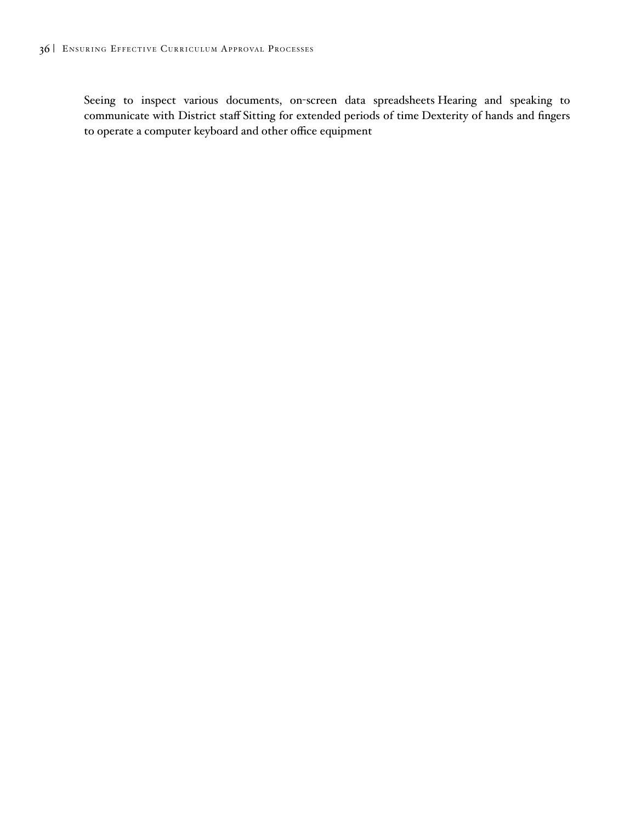Seeing to inspect various documents, on-screen data spreadsheets Hearing and speaking to communicate with District staff Sitting for extended periods of time Dexterity of hands and fingers to operate a computer keyboard and other office equipment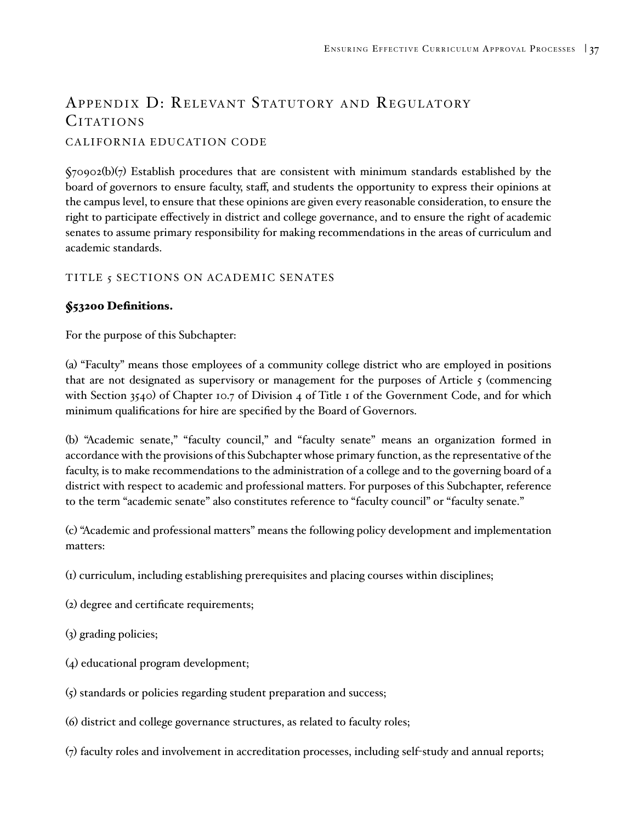# APPENDIX D: RELEVANT STATUTORY AND REGULATORY CITATIONS

### CALIFORNIA EDUCATION CODE

 $\zeta$ 70902(b)(7) Establish procedures that are consistent with minimum standards established by the board of governors to ensure faculty, staff, and students the opportunity to express their opinions at the campus level, to ensure that these opinions are given every reasonable consideration, to ensure the right to participate effectively in district and college governance, and to ensure the right of academic senates to assume primary responsibility for making recommendations in the areas of curriculum and academic standards.

### TITLE 5 SECTIONS ON ACADEMIC SENATES

### §53200 Definitions.

For the purpose of this Subchapter:

(a) "Faculty" means those employees of a community college district who are employed in positions that are not designated as supervisory or management for the purposes of Article  $\zeta$  (commencing with Section 3540) of Chapter 10.7 of Division 4 of Title 1 of the Government Code, and for which minimum qualifications for hire are specified by the Board of Governors.

(b) "Academic senate," "faculty council," and "faculty senate" means an organization formed in accordance with the provisions of this Subchapter whose primary function, as the representative of the faculty, is to make recommendations to the administration of a college and to the governing board of a district with respect to academic and professional matters. For purposes of this Subchapter, reference to the term "academic senate" also constitutes reference to "faculty council" or "faculty senate."

(c) "Academic and professional matters" means the following policy development and implementation matters:

- (1) curriculum, including establishing prerequisites and placing courses within disciplines;
- (2) degree and certificate requirements;
- (3) grading policies;
- (4) educational program development;
- (5) standards or policies regarding student preparation and success;
- (6) district and college governance structures, as related to faculty roles;
- (7) faculty roles and involvement in accreditation processes, including self-study and annual reports;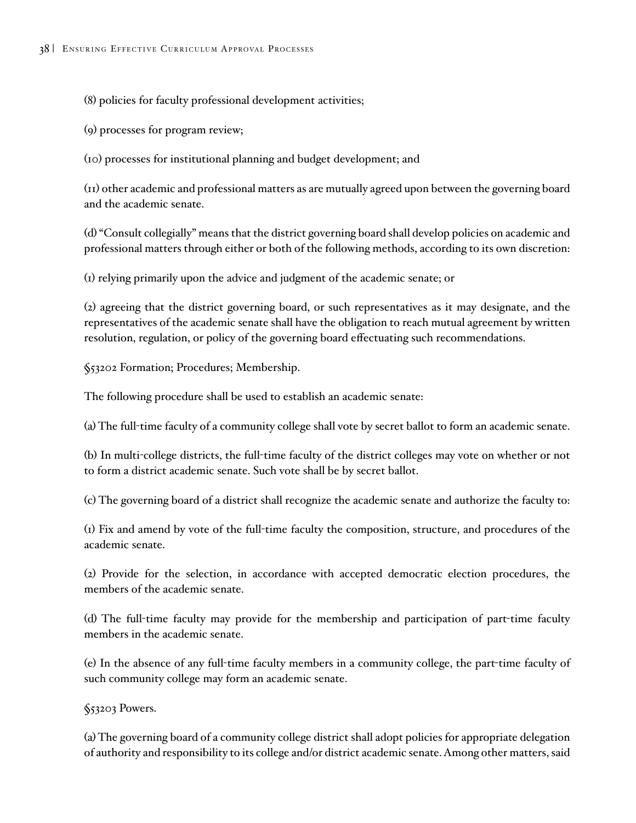(8) policies for faculty professional development activities;

(9) processes for program review;

(10) processes for institutional planning and budget development; and

(11) other academic and professional matters as are mutually agreed upon between the governing board and the academic senate.

(d) "Consult collegially" means that the district governing board shall develop policies on academic and professional matters through either or both of the following methods, according to its own discretion:

(1) relying primarily upon the advice and judgment of the academic senate; or

(2) agreeing that the district governing board, or such representatives as it may designate, and the representatives of the academic senate shall have the obligation to reach mutual agreement by written resolution, regulation, or policy of the governing board effectuating such recommendations.

§53202 Formation; Procedures; Membership.

The following procedure shall be used to establish an academic senate:

(a) The full-time faculty of a community college shall vote by secret ballot to form an academic senate.

(b) In multi-college districts, the full-time faculty of the district colleges may vote on whether or not to form a district academic senate. Such vote shall be by secret ballot.

(c) The governing board of a district shall recognize the academic senate and authorize the faculty to:

(1) Fix and amend by vote of the full-time faculty the composition, structure, and procedures of the academic senate.

(2) Provide for the selection, in accordance with accepted democratic election procedures, the members of the academic senate.

(d) The full-time faculty may provide for the membership and participation of part-time faculty members in the academic senate.

(e) In the absence of any full-time faculty members in a community college, the part-time faculty of such community college may form an academic senate.

§53203 Powers.

(a) The governing board of a community college district shall adopt policies for appropriate delegation of authority and responsibility to its college and/or district academic senate. Among other matters, said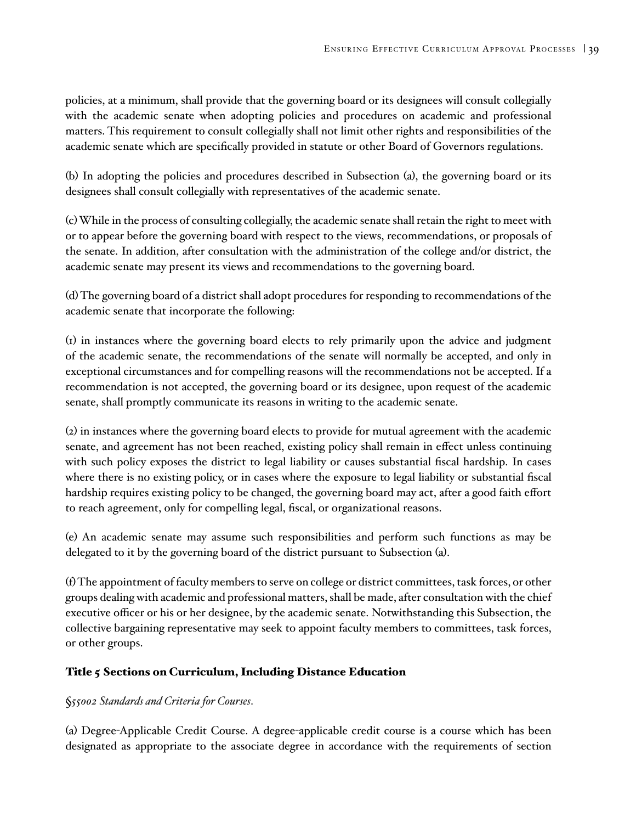policies, at a minimum, shall provide that the governing board or its designees will consult collegially with the academic senate when adopting policies and procedures on academic and professional matters. This requirement to consult collegially shall not limit other rights and responsibilities of the academic senate which are specifically provided in statute or other Board of Governors regulations.

(b) In adopting the policies and procedures described in Subsection (a), the governing board or its designees shall consult collegially with representatives of the academic senate.

(c) While in the process of consulting collegially, the academic senate shall retain the right to meet with or to appear before the governing board with respect to the views, recommendations, or proposals of the senate. In addition, after consultation with the administration of the college and/or district, the academic senate may present its views and recommendations to the governing board.

(d) The governing board of a district shall adopt procedures for responding to recommendations of the academic senate that incorporate the following:

(1) in instances where the governing board elects to rely primarily upon the advice and judgment of the academic senate, the recommendations of the senate will normally be accepted, and only in exceptional circumstances and for compelling reasons will the recommendations not be accepted. If a recommendation is not accepted, the governing board or its designee, upon request of the academic senate, shall promptly communicate its reasons in writing to the academic senate.

(2) in instances where the governing board elects to provide for mutual agreement with the academic senate, and agreement has not been reached, existing policy shall remain in effect unless continuing with such policy exposes the district to legal liability or causes substantial fiscal hardship. In cases where there is no existing policy, or in cases where the exposure to legal liability or substantial fiscal hardship requires existing policy to be changed, the governing board may act, after a good faith effort to reach agreement, only for compelling legal, fiscal, or organizational reasons.

(e) An academic senate may assume such responsibilities and perform such functions as may be delegated to it by the governing board of the district pursuant to Subsection (a).

(f) The appointment of faculty members to serve on college or district committees, task forces, or other groups dealing with academic and professional matters, shall be made, after consultation with the chief executive officer or his or her designee, by the academic senate. Notwithstanding this Subsection, the collective bargaining representative may seek to appoint faculty members to committees, task forces, or other groups.

### Title 5 Sections on Curriculum, Including Distance Education

### §*55002 Standards and Criteria for Courses*.

(a) Degree-Applicable Credit Course. A degree-applicable credit course is a course which has been designated as appropriate to the associate degree in accordance with the requirements of section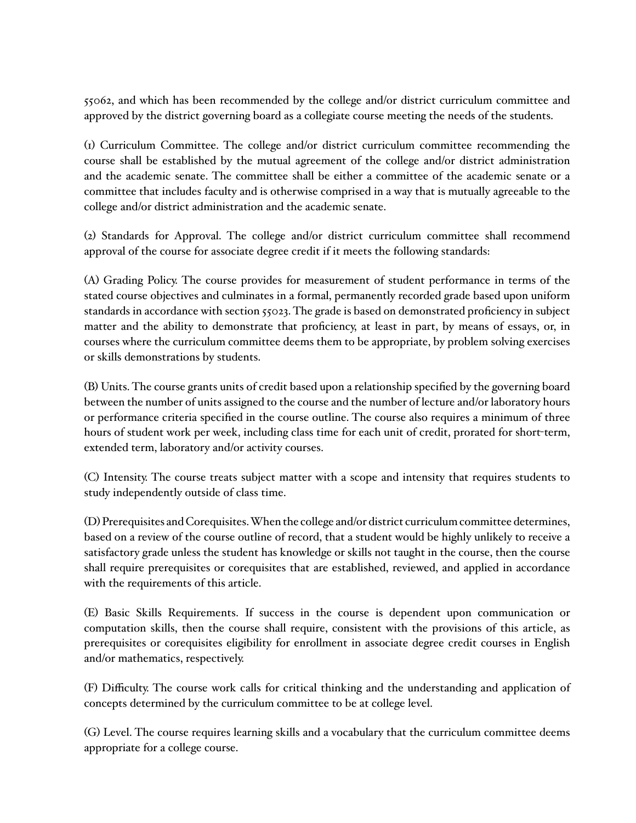55062, and which has been recommended by the college and/or district curriculum committee and approved by the district governing board as a collegiate course meeting the needs of the students.

(1) Curriculum Committee. The college and/or district curriculum committee recommending the course shall be established by the mutual agreement of the college and/or district administration and the academic senate. The committee shall be either a committee of the academic senate or a committee that includes faculty and is otherwise comprised in a way that is mutually agreeable to the college and/or district administration and the academic senate.

(2) Standards for Approval. The college and/or district curriculum committee shall recommend approval of the course for associate degree credit if it meets the following standards:

(A) Grading Policy. The course provides for measurement of student performance in terms of the stated course objectives and culminates in a formal, permanently recorded grade based upon uniform standards in accordance with section 55023. The grade is based on demonstrated proficiency in subject matter and the ability to demonstrate that proficiency, at least in part, by means of essays, or, in courses where the curriculum committee deems them to be appropriate, by problem solving exercises or skills demonstrations by students.

(B) Units. The course grants units of credit based upon a relationship specified by the governing board between the number of units assigned to the course and the number of lecture and/or laboratory hours or performance criteria specified in the course outline. The course also requires a minimum of three hours of student work per week, including class time for each unit of credit, prorated for short-term, extended term, laboratory and/or activity courses.

(C) Intensity. The course treats subject matter with a scope and intensity that requires students to study independently outside of class time.

(D) Prerequisites and Corequisites. When the college and/or district curriculum committee determines, based on a review of the course outline of record, that a student would be highly unlikely to receive a satisfactory grade unless the student has knowledge or skills not taught in the course, then the course shall require prerequisites or corequisites that are established, reviewed, and applied in accordance with the requirements of this article.

(E) Basic Skills Requirements. If success in the course is dependent upon communication or computation skills, then the course shall require, consistent with the provisions of this article, as prerequisites or corequisites eligibility for enrollment in associate degree credit courses in English and/or mathematics, respectively.

(F) Difficulty. The course work calls for critical thinking and the understanding and application of concepts determined by the curriculum committee to be at college level.

(G) Level. The course requires learning skills and a vocabulary that the curriculum committee deems appropriate for a college course.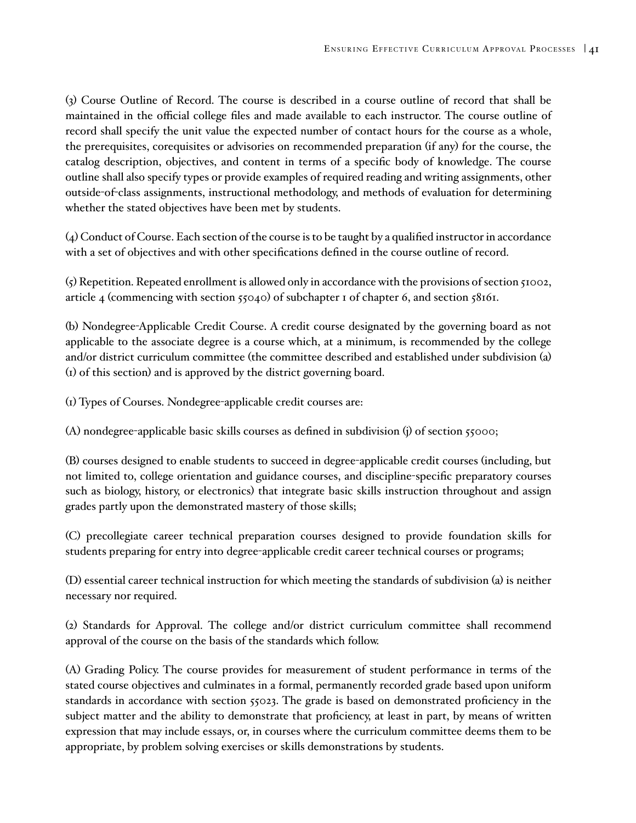(3) Course Outline of Record. The course is described in a course outline of record that shall be maintained in the official college files and made available to each instructor. The course outline of record shall specify the unit value the expected number of contact hours for the course as a whole, the prerequisites, corequisites or advisories on recommended preparation (if any) for the course, the catalog description, objectives, and content in terms of a specific body of knowledge. The course outline shall also specify types or provide examples of required reading and writing assignments, other outside-of-class assignments, instructional methodology, and methods of evaluation for determining whether the stated objectives have been met by students.

(4) Conduct of Course. Each section of the course is to be taught by a qualified instructor in accordance with a set of objectives and with other specifications defined in the course outline of record.

 $\zeta$ ) Repetition. Repeated enrollment is allowed only in accordance with the provisions of section  $\zeta$ 1002, article 4 (commencing with section  $5040$ ) of subchapter 1 of chapter 6, and section  $58161$ .

(b) Nondegree-Applicable Credit Course. A credit course designated by the governing board as not applicable to the associate degree is a course which, at a minimum, is recommended by the college and/or district curriculum committee (the committee described and established under subdivision (a) (1) of this section) and is approved by the district governing board.

(1) Types of Courses. Nondegree-applicable credit courses are:

(A) nondegree-applicable basic skills courses as defined in subdivision (j) of section 55000;

(B) courses designed to enable students to succeed in degree-applicable credit courses (including, but not limited to, college orientation and guidance courses, and discipline-specific preparatory courses such as biology, history, or electronics) that integrate basic skills instruction throughout and assign grades partly upon the demonstrated mastery of those skills;

(C) precollegiate career technical preparation courses designed to provide foundation skills for students preparing for entry into degree-applicable credit career technical courses or programs;

(D) essential career technical instruction for which meeting the standards of subdivision (a) is neither necessary nor required.

(2) Standards for Approval. The college and/or district curriculum committee shall recommend approval of the course on the basis of the standards which follow.

(A) Grading Policy. The course provides for measurement of student performance in terms of the stated course objectives and culminates in a formal, permanently recorded grade based upon uniform standards in accordance with section 55023. The grade is based on demonstrated proficiency in the subject matter and the ability to demonstrate that proficiency, at least in part, by means of written expression that may include essays, or, in courses where the curriculum committee deems them to be appropriate, by problem solving exercises or skills demonstrations by students.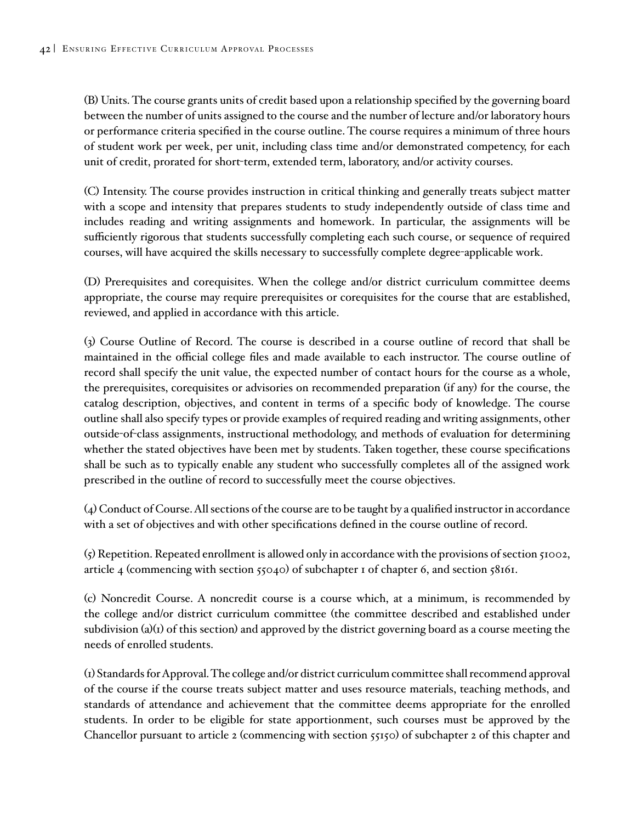(B) Units. The course grants units of credit based upon a relationship specified by the governing board between the number of units assigned to the course and the number of lecture and/or laboratory hours or performance criteria specified in the course outline. The course requires a minimum of three hours of student work per week, per unit, including class time and/or demonstrated competency, for each unit of credit, prorated for short-term, extended term, laboratory, and/or activity courses.

(C) Intensity. The course provides instruction in critical thinking and generally treats subject matter with a scope and intensity that prepares students to study independently outside of class time and includes reading and writing assignments and homework. In particular, the assignments will be sufficiently rigorous that students successfully completing each such course, or sequence of required courses, will have acquired the skills necessary to successfully complete degree-applicable work.

(D) Prerequisites and corequisites. When the college and/or district curriculum committee deems appropriate, the course may require prerequisites or corequisites for the course that are established, reviewed, and applied in accordance with this article.

(3) Course Outline of Record. The course is described in a course outline of record that shall be maintained in the official college files and made available to each instructor. The course outline of record shall specify the unit value, the expected number of contact hours for the course as a whole, the prerequisites, corequisites or advisories on recommended preparation (if any) for the course, the catalog description, objectives, and content in terms of a specific body of knowledge. The course outline shall also specify types or provide examples of required reading and writing assignments, other outside-of-class assignments, instructional methodology, and methods of evaluation for determining whether the stated objectives have been met by students. Taken together, these course specifications shall be such as to typically enable any student who successfully completes all of the assigned work prescribed in the outline of record to successfully meet the course objectives.

(4) Conduct of Course. All sections of the course are to be taught by a qualified instructor in accordance with a set of objectives and with other specifications defined in the course outline of record.

 $\zeta$ ) Repetition. Repeated enrollment is allowed only in accordance with the provisions of section  $\zeta$ 1002, article 4 (commencing with section 55040) of subchapter 1 of chapter 6, and section 58161.

(c) Noncredit Course. A noncredit course is a course which, at a minimum, is recommended by the college and/or district curriculum committee (the committee described and established under subdivision (a)(1) of this section) and approved by the district governing board as a course meeting the needs of enrolled students.

(1) Standards for Approval. The college and/or district curriculum committee shall recommend approval of the course if the course treats subject matter and uses resource materials, teaching methods, and standards of attendance and achievement that the committee deems appropriate for the enrolled students. In order to be eligible for state apportionment, such courses must be approved by the Chancellor pursuant to article 2 (commencing with section 55150) of subchapter 2 of this chapter and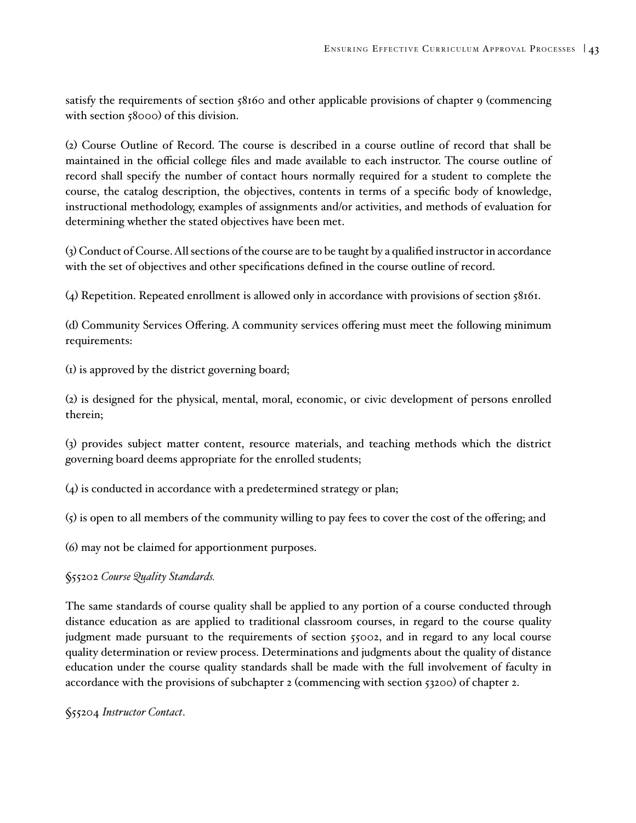satisfy the requirements of section 58160 and other applicable provisions of chapter 9 (commencing with section 58000) of this division.

(2) Course Outline of Record. The course is described in a course outline of record that shall be maintained in the official college files and made available to each instructor. The course outline of record shall specify the number of contact hours normally required for a student to complete the course, the catalog description, the objectives, contents in terms of a specific body of knowledge, instructional methodology, examples of assignments and/or activities, and methods of evaluation for determining whether the stated objectives have been met.

(3) Conduct of Course. All sections of the course are to be taught by a qualified instructor in accordance with the set of objectives and other specifications defined in the course outline of record.

(4) Repetition. Repeated enrollment is allowed only in accordance with provisions of section 58161.

(d) Community Services Offering. A community services offering must meet the following minimum requirements:

(1) is approved by the district governing board;

(2) is designed for the physical, mental, moral, economic, or civic development of persons enrolled therein;

(3) provides subject matter content, resource materials, and teaching methods which the district governing board deems appropriate for the enrolled students;

(4) is conducted in accordance with a predetermined strategy or plan;

 $\zeta$  is open to all members of the community willing to pay fees to cover the cost of the offering; and

(6) may not be claimed for apportionment purposes.

§55202 *Course Quality Standards.*

The same standards of course quality shall be applied to any portion of a course conducted through distance education as are applied to traditional classroom courses, in regard to the course quality judgment made pursuant to the requirements of section 55002, and in regard to any local course quality determination or review process. Determinations and judgments about the quality of distance education under the course quality standards shall be made with the full involvement of faculty in accordance with the provisions of subchapter 2 (commencing with section 53200) of chapter 2.

§55204 *Instructor Contact*.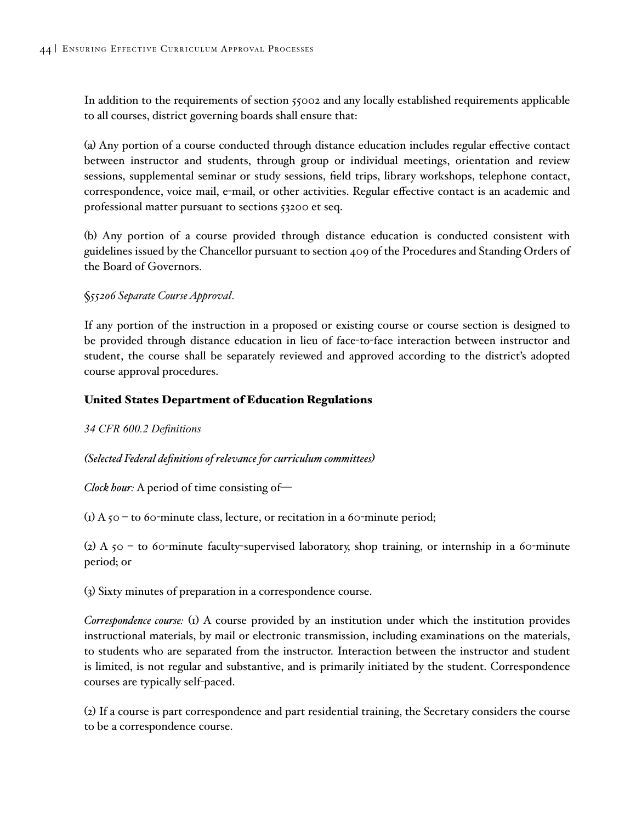In addition to the requirements of section 55002 and any locally established requirements applicable to all courses, district governing boards shall ensure that:

(a) Any portion of a course conducted through distance education includes regular effective contact between instructor and students, through group or individual meetings, orientation and review sessions, supplemental seminar or study sessions, field trips, library workshops, telephone contact, correspondence, voice mail, e-mail, or other activities. Regular effective contact is an academic and professional matter pursuant to sections 53200 et seq.

(b) Any portion of a course provided through distance education is conducted consistent with guidelines issued by the Chancellor pursuant to section 409 of the Procedures and Standing Orders of the Board of Governors.

§*55206 Separate Course Approval*.

If any portion of the instruction in a proposed or existing course or course section is designed to be provided through distance education in lieu of face-to-face interaction between instructor and student, the course shall be separately reviewed and approved according to the district's adopted course approval procedures.

### United States Department of Education Regulations

*34 CFR 600.2 Definitions*

#### *(Selected Federal definitions of relevance for curriculum committees)*

*Clock hour:* A period of time consisting of—

(1) A  $50 -$  to 60-minute class, lecture, or recitation in a 60-minute period;

(2) A  $50 -$  to 60-minute faculty-supervised laboratory, shop training, or internship in a 60-minute period; or

(3) Sixty minutes of preparation in a correspondence course.

*Correspondence course:* (1) A course provided by an institution under which the institution provides instructional materials, by mail or electronic transmission, including examinations on the materials, to students who are separated from the instructor. Interaction between the instructor and student is limited, is not regular and substantive, and is primarily initiated by the student. Correspondence courses are typically self-paced.

(2) If a course is part correspondence and part residential training, the Secretary considers the course to be a correspondence course.